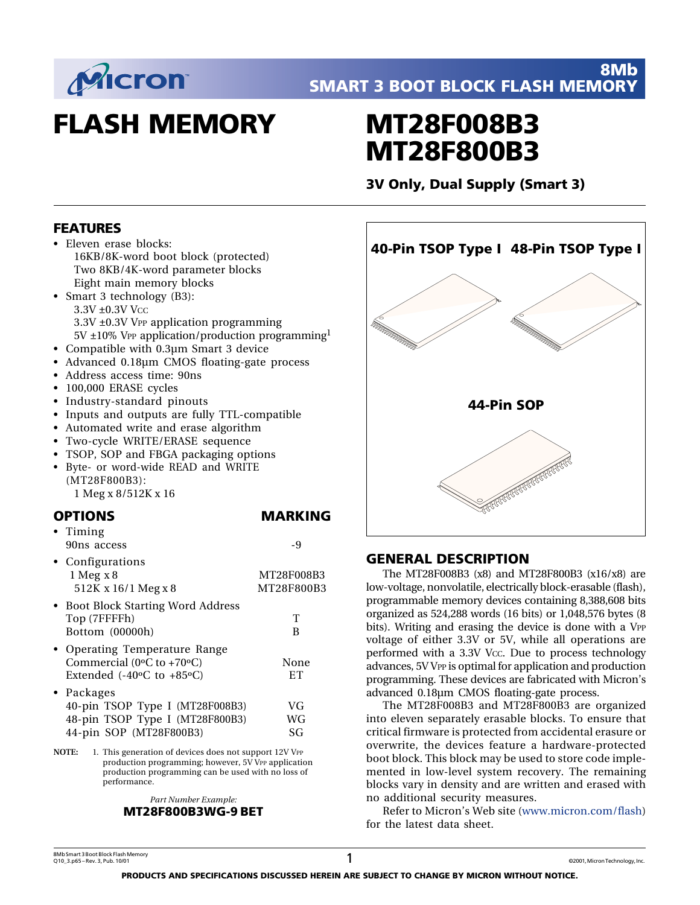

# **FLASH MEMORY**

# **MT28F008B3 MT28F800B3**

**3V Only, Dual Supply (Smart 3)**

## **FEATURES**

- Eleven erase blocks: 16KB/8K-word boot block (protected) Two 8KB/4K-word parameter blocks Eight main memory blocks
- Smart 3 technology (B3): 3.3V ±0.3V Vcc 3.3V ±0.3V VPP application programming  $5V \pm 10\%$  VPP application/production programming<sup>1</sup>
- Compatible with 0.3µm Smart 3 device
- Advanced 0.18µm CMOS floating-gate process
- Address access time: 90ns
- 100,000 ERASE cycles
- Industry-standard pinouts
- Inputs and outputs are fully TTL-compatible
- Automated write and erase algorithm
- Two-cycle WRITE/ERASE sequence
- TSOP, SOP and FBGA packaging options
- Byte- or word-wide READ and WRITE (MT28F800B3): 1 Meg x 8/512K x 16

#### **OPTIONS MARKING**

• Timing 90ns access and  $-9$ • Configurations

| Conniguiduono<br>$1$ Meg x 8<br>512K x 16/1 Meg x 8                                                              | MT28F008B3<br>MT28F800B3 |
|------------------------------------------------------------------------------------------------------------------|--------------------------|
| • Boot Block Starting Word Address<br>Top (7FFFFh)<br>Bottom (00000h)                                            | т<br>В                   |
| • Operating Temperature Range<br>Commercial (0 $\degree$ C to +70 $\degree$ C)<br>Extended $(-40°C$ to $+85°C$ ) | None<br>ET               |
| • Packages<br>40-pin TSOP Type I (MT28F008B3)<br>48-pin TSOP Type I (MT28F800B3)<br>44-pin SOP (MT28F800B3)      | VG<br>WG<br>SG           |

**NOTE:** 1. This generation of devices does not support 12V VPP production programming; however, 5V VPP application production programming can be used with no loss of performance.

> *Part Number Example:* **MT28F800B3WG-9 BET**



## **GENERAL DESCRIPTION**

The MT28F008B3 (x8) and MT28F800B3 (x16/x8) are low-voltage, nonvolatile, electrically block-erasable (flash), programmable memory devices containing 8,388,608 bits organized as 524,288 words (16 bits) or 1,048,576 bytes (8 bits). Writing and erasing the device is done with a VPP voltage of either 3.3V or 5V, while all operations are performed with a 3.3V Vcc. Due to process technology advances, 5V VPP is optimal for application and production programming. These devices are fabricated with Micron's advanced 0.18µm CMOS floating-gate process.

The MT28F008B3 and MT28F800B3 are organized into eleven separately erasable blocks. To ensure that critical firmware is protected from accidental erasure or overwrite, the devices feature a hardware-protected boot block. This block may be used to store code implemented in low-level system recovery. The remaining blocks vary in density and are written and erased with no additional security measures.

[Refer to Micron's Web site \(www.micron.com/flash\)](http://www.micron.com/flash) for the latest data sheet.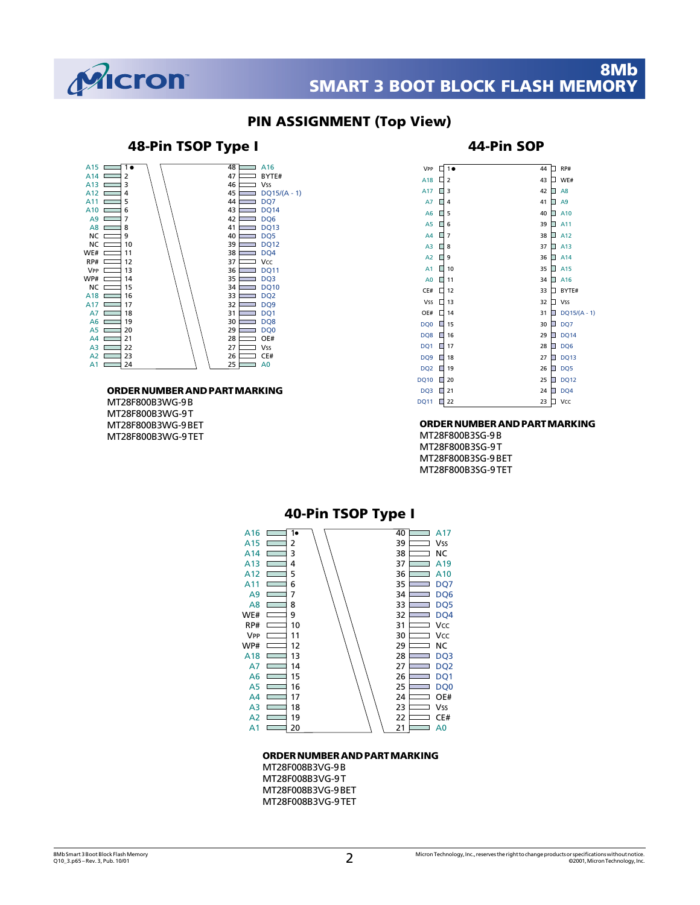

#### **PIN ASSIGNMENT (Top View)**

#### **48-Pin TSOP Type I 44-Pin SOP** 48  $\Box$  A16  $\overline{\phantom{0}}$ 10 A15 A14  $\equiv$  BYTE#  $47$ 2 46 Vss  $\Box$ A13 3 45 A12 4  $A11$ 5 44  $\overline{\phantom{0}}$  DQ7  $\Box$  DO14  $A10$ 6 ∣⊑ 43  $\overline{AB}$ 42  $\overline{\phantom{0}}$  DO6 7  $\overline{\phantom{0}}$  DQ13  $AB$  $41$ 8 ⊑  $NC \equiv$ 9  $40<sup>1</sup>$  $\equiv$  DQ5  $NC \implies$  $10$ DQ12 39 WE# 11 38  $\overline{\phantom{0}}$  DQ4  $RP# \square$ 12 37  $=$  Vcc 36  $\Box$  DQ11  $VPP E$ 13  $\frac{36}{35}$  $\overline{\phantom{0}}$  DQ3  $W$ P# $\Box$ 14  $NC \equiv$ 15 34  $\Box$ DQ10  $A18$ 16 DQ2 33  $A17$ 17 32  $\overline{\phantom{0}}$  DQ9  $A7 \equiv$ 18 31  $\equiv$  DO1  $\Box$  DQ8 A6 19 30 29  $\overline{AB}$  $\Box$ DOO  $\exists$  20  $\frac{25}{28}$  $\sum_{\text{OE#}}$ A4 21 27 Vss  $\Box$ A3 22 26  $\equiv$  CE# A2 23 25  $\overline{a}$ A1 24

#### **ORDER NUMBER AND PART MARKING**

MT28F800B3WG-9 B MT28F800B3WG-9 T MT28F800B3WG-9 BET MT28F800B3WG-9 TET

| VPP             |   | 1              | 44 | RP#            |
|-----------------|---|----------------|----|----------------|
| A18             | П | 2              | 43 | WE#            |
| A17             | П | 3              | 42 | A8             |
| A7              |   | 4              | 41 | A9             |
| A <sub>6</sub>  | П | 5              | 40 | A10            |
| A <sub>5</sub>  | г | 6              | 39 | A11            |
| A4              |   | $\overline{7}$ | 38 | A12            |
| A <sub>3</sub>  | п | 8              | 37 | A13            |
| A <sub>2</sub>  | П | 9              | 36 | A14            |
| A1              |   | 10             | 35 | A15            |
| A <sub>0</sub>  | П | 11             | 34 | A16            |
| CE#             |   | 12             | 33 | BYTE#          |
| <b>Vss</b>      |   | 13             | 32 | <b>Vss</b>     |
| OE#             | П | 14             | 31 | $DQ15/(A - 1)$ |
| DQ <sub>0</sub> | П | 15             | 30 | DQ7            |
| DQ8             | Ш | 16             | 29 | <b>DQ14</b>    |
| DQ1             |   | 17             | 28 | DQ6            |
| DQ <sub>9</sub> | ш | 18             | 27 | <b>DQ13</b>    |
| DQ <sub>2</sub> | Π | 19             | 26 | DQ5            |
| <b>DQ10</b>     | П | 20             | 25 | <b>DQ12</b>    |
| DQ3             | ш | 21             | 24 | DQ4            |
| <b>DQ11</b>     | г | 22             | 23 | Vcc            |

#### **ORDER NUMBER AND PART MARKING**

MT28F800B3SG-9 B MT28F800B3SG-9 T MT28F800B3SG-9 BET MT28F800B3SG-9 TET



#### **ORDER NUMBER AND PART MARKING**

MT28F008B3VG-9 B MT28F008B3VG-9 T MT28F008B3VG-9 BET MT28F008B3VG-9 TET

## $DQ15/(A - 1)$

## amb Smart 3 Boot Block Flash Memory<br>Q10\_3.p65 – Rev. 3, Pub. 10/01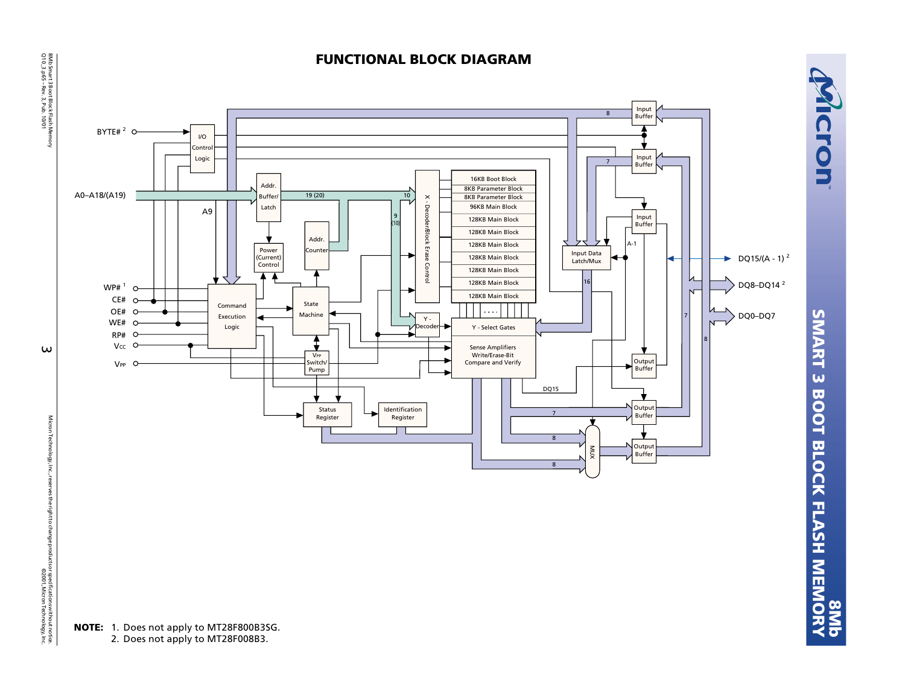8Mb Smart 3 Boot Block Flash Memory<br>Q10\_3.p65 –Rev. 3, Pub. 10/01 Q10\_3.p65 – Rev. 3, Pub. 10/01

8Mb Smart 3 Boot Block Flash Memory<br>Q10\_3 .p65 - Rev. 3, Pub. 1001

**NOTE:** 1. Does not apply to MT28F800B3SG. 2. Does not apply to MT28F008B3.



**FUNCTIONAL BLOCK DIAGRAM**

Micron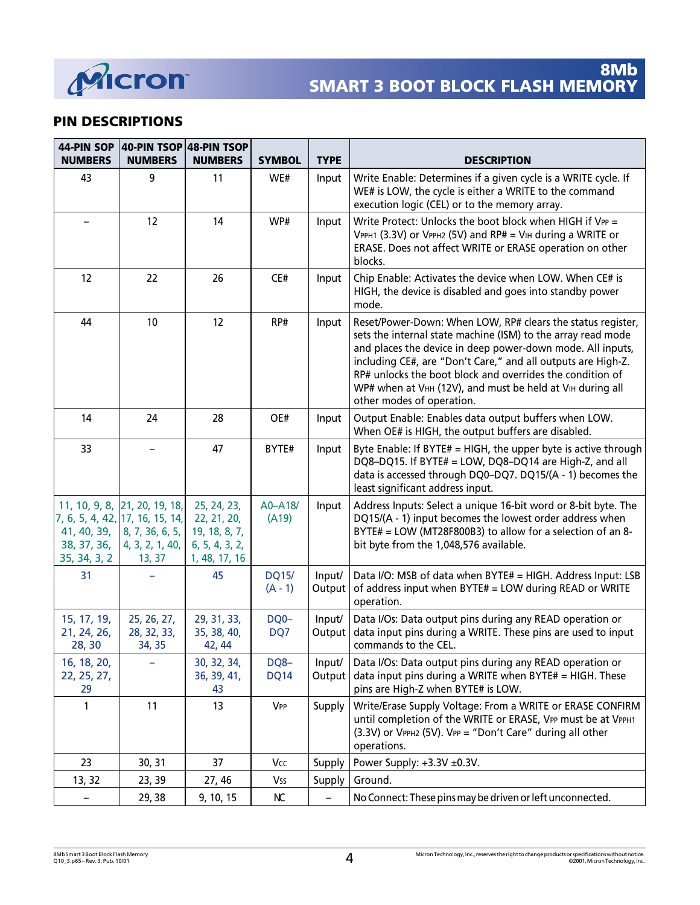

## **PIN DESCRIPTIONS**

| 44-PIN SOP<br><b>NUMBERS</b>               | 40-PIN TSOP 48-PIN TSOP<br><b>NUMBERS</b>                                                                        | <b>NUMBERS</b>                                                                 | <b>SYMBOL</b>             | <b>TYPE</b>      | <b>DESCRIPTION</b>                                                                                                                                                                                                                                                                                                                                                                                               |
|--------------------------------------------|------------------------------------------------------------------------------------------------------------------|--------------------------------------------------------------------------------|---------------------------|------------------|------------------------------------------------------------------------------------------------------------------------------------------------------------------------------------------------------------------------------------------------------------------------------------------------------------------------------------------------------------------------------------------------------------------|
| 43                                         | 9                                                                                                                | 11                                                                             | WE#                       | Input            | Write Enable: Determines if a given cycle is a WRITE cycle. If<br>WE# is LOW, the cycle is either a WRITE to the command<br>execution logic (CEL) or to the memory array.                                                                                                                                                                                                                                        |
|                                            | 12                                                                                                               | 14                                                                             | WP#                       | Input            | Write Protect: Unlocks the boot block when HIGH if VPP =<br>VPPH1 (3.3V) or VPPH2 (5V) and RP# = VIH during a WRITE or<br>ERASE. Does not affect WRITE or ERASE operation on other<br>blocks.                                                                                                                                                                                                                    |
| 12                                         | 22                                                                                                               | 26                                                                             | CE#                       | Input            | Chip Enable: Activates the device when LOW. When CE# is<br>HIGH, the device is disabled and goes into standby power<br>mode.                                                                                                                                                                                                                                                                                     |
| 44                                         | 10                                                                                                               | 12                                                                             | RP#                       | Input            | Reset/Power-Down: When LOW, RP# clears the status register,<br>sets the internal state machine (ISM) to the array read mode<br>and places the device in deep power-down mode. All inputs,<br>including CE#, are "Don't Care," and all outputs are High-Z.<br>RP# unlocks the boot block and overrides the condition of<br>WP# when at VHH (12V), and must be held at VIH during all<br>other modes of operation. |
| 14                                         | 24                                                                                                               | 28                                                                             | OE#                       | Input            | Output Enable: Enables data output buffers when LOW.<br>When OE# is HIGH, the output buffers are disabled.                                                                                                                                                                                                                                                                                                       |
| 33                                         |                                                                                                                  | 47                                                                             | BYTE#                     | Input            | Byte Enable: If BYTE# = HIGH, the upper byte is active through<br>DQ8-DQ15. If BYTE# = LOW, DQ8-DQ14 are High-Z, and all<br>data is accessed through DQ0-DQ7. DQ15/(A - 1) becomes the<br>least significant address input.                                                                                                                                                                                       |
| 41, 40, 39,<br>38, 37, 36,<br>35, 34, 3, 2 | 11, 10, 9, 8, 21, 20, 19, 18,<br>7, 6, 5, 4, 42, 17, 16, 15, 14,<br>8, 7, 36, 6, 5,<br>4, 3, 2, 1, 40,<br>13, 37 | 25, 24, 23,<br>22, 21, 20,<br>19, 18, 8, 7,<br>6, 5, 4, 3, 2,<br>1, 48, 17, 16 | A0-A18/<br>(A19)          | Input            | Address Inputs: Select a unique 16-bit word or 8-bit byte. The<br>DQ15/(A - 1) input becomes the lowest order address when<br>BYTE# = LOW (MT28F800B3) to allow for a selection of an 8-<br>bit byte from the 1,048,576 available.                                                                                                                                                                               |
| 31                                         |                                                                                                                  | 45                                                                             | <b>DQ15/</b><br>$(A - 1)$ | Input/<br>Output | Data I/O: MSB of data when BYTE# = HIGH. Address Input: LSB<br>of address input when BYTE# = LOW during READ or WRITE<br>operation.                                                                                                                                                                                                                                                                              |
| 15, 17, 19,<br>21, 24, 26,<br>28, 30       | 25, 26, 27,<br>28, 32, 33,<br>34, 35                                                                             | 29, 31, 33,<br>35, 38, 40,<br>42, 44                                           | DQ0-<br>DQ7               | Input/<br>Output | Data I/Os: Data output pins during any READ operation or<br>data input pins during a WRITE. These pins are used to input<br>commands to the CEL.                                                                                                                                                                                                                                                                 |
| 16, 18, 20,<br>22, 25, 27,<br>29           |                                                                                                                  | 30, 32, 34,<br>36, 39, 41,<br>43                                               | DQ8-<br><b>DQ14</b>       | Input/<br>Output | Data I/Os: Data output pins during any READ operation or<br>data input pins during a WRITE when BYTE# = HIGH. These<br>pins are High-Z when BYTE# is LOW.                                                                                                                                                                                                                                                        |
| 1                                          | 11                                                                                                               | 13                                                                             | VPP                       | Supply           | Write/Erase Supply Voltage: From a WRITE or ERASE CONFIRM<br>until completion of the WRITE or ERASE, VPP must be at VPPH1<br>(3.3V) or VPPH2 (5V). VPP = "Don't Care" during all other<br>operations.                                                                                                                                                                                                            |
| 23                                         | 30, 31                                                                                                           | 37                                                                             | Vcc                       | Supply           | Power Supply: +3.3V ±0.3V.                                                                                                                                                                                                                                                                                                                                                                                       |
| 13, 32                                     | 23, 39                                                                                                           | 27, 46                                                                         | Vss                       | Supply           | Ground.                                                                                                                                                                                                                                                                                                                                                                                                          |
|                                            | 29, 38                                                                                                           | 9, 10, 15                                                                      | КC                        |                  | No Connect: These pins may be driven or left unconnected.                                                                                                                                                                                                                                                                                                                                                        |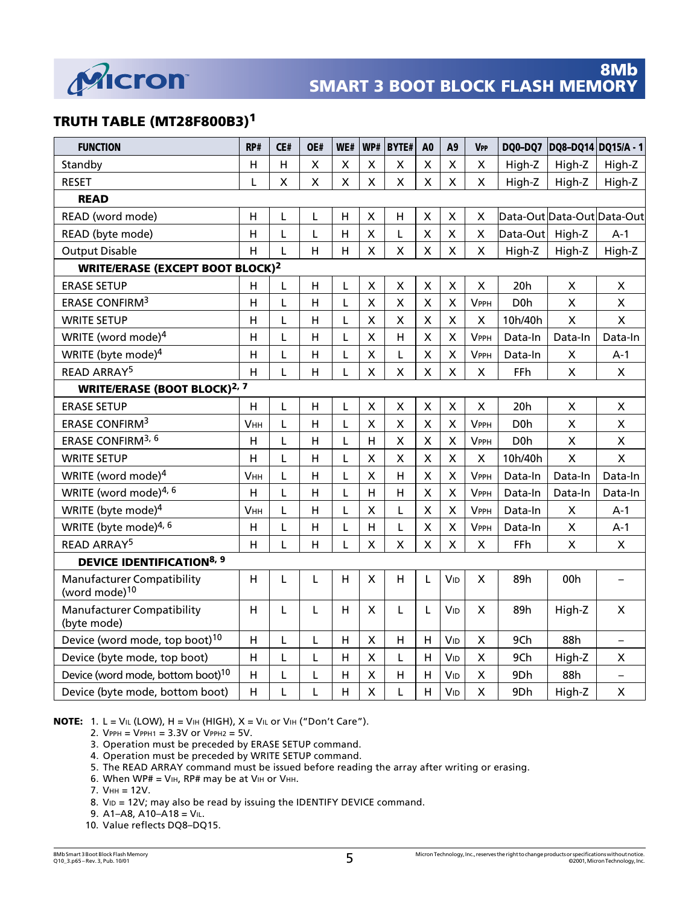

## **TRUTH TABLE (MT28F800B3)1**

| <b>FUNCTION</b>                                                | RP#                     | CE# | OE#                | WE#                | WP#                     | <b>BYTE#</b>              | A <sub>0</sub>            | A9                        | <b>VPP</b>                | DQ0-DQ7          | DQ8-DQ14 DQ15/A - 1        |                          |
|----------------------------------------------------------------|-------------------------|-----|--------------------|--------------------|-------------------------|---------------------------|---------------------------|---------------------------|---------------------------|------------------|----------------------------|--------------------------|
| Standby                                                        | H                       | H   | $\mathsf{x}$       | $\mathsf{X}$       | $\mathsf{X}$            | $\pmb{\times}$            | $\boldsymbol{\mathsf{X}}$ | $\sf X$                   | $\pmb{\times}$            | High-Z           | High-Z                     | High-Z                   |
| <b>RESET</b>                                                   | L                       | X   | $\pmb{\mathsf{X}}$ | $\pmb{\mathsf{X}}$ | $\pmb{\mathsf{X}}$      | $\pmb{\times}$            | $\mathsf{X}$              | X                         | $\pmb{\times}$            | High-Z           | High-Z                     | High-Z                   |
| <b>READ</b>                                                    |                         |     |                    |                    |                         |                           |                           |                           |                           |                  |                            |                          |
| READ (word mode)                                               | H                       | L   | L                  | $\overline{H}$     | $\pmb{\times}$          | H                         | $\pmb{\mathsf{X}}$        | $\pmb{\times}$            | X                         |                  | Data-Out Data-Out Data-Out |                          |
| READ (byte mode)                                               | H                       | Ĺ   | L                  | $\overline{H}$     | $\overline{\mathsf{x}}$ | L                         | $\overline{\mathsf{X}}$   | $\overline{\mathsf{X}}$   | X                         | Data-Out         | High-Z                     | $A-1$                    |
| <b>Output Disable</b>                                          | H                       | L   | H                  | H                  | $\pmb{\mathsf{X}}$      | $\pmb{\times}$            | X                         | $\pmb{\mathsf{X}}$        | X                         | High-Z           | High-Z                     | High-Z                   |
| <b>WRITE/ERASE (EXCEPT BOOT BLOCK)<sup>2</sup></b>             |                         |     |                    |                    |                         |                           |                           |                           |                           |                  |                            |                          |
| <b>ERASE SETUP</b>                                             | H                       | L   | н                  | L                  | $\pmb{\times}$          | $\pmb{\times}$            | $\boldsymbol{\mathsf{X}}$ | X                         | X                         | 20h              | $\mathsf{X}$               | X                        |
| ERASE CONFIRM <sup>3</sup>                                     | $\mathsf{H}$            | Г   | H                  | L                  | $\pmb{\mathsf{X}}$      | $\pmb{\times}$            | $\boldsymbol{\mathsf{X}}$ | $\mathsf{X}$              | <b>VPPH</b>               | D <sub>0</sub> h | $\pmb{\mathsf{X}}$         | $\mathsf X$              |
| <b>WRITE SETUP</b>                                             | $\mathsf{H}$            | L   | н                  | L                  | $\pmb{\times}$          | X                         | $\pmb{\times}$            | $\pmb{\times}$            | X                         | 10h/40h          | $\pmb{\times}$             | $\pmb{\mathsf{X}}$       |
| WRITE (word mode) <sup>4</sup>                                 | $\overline{H}$          | L   | H                  | L                  | $\overline{\mathsf{X}}$ | $\mathsf{H}$              | $\boldsymbol{\mathsf{X}}$ | $\boldsymbol{\mathsf{X}}$ | <b>VPPH</b>               | Data-In          | Data-In                    | Data-In                  |
| WRITE (byte mode) <sup>4</sup>                                 | $\overline{H}$          | L   | $\overline{H}$     | Г                  | $\mathsf{X}$            | Г                         | $\boldsymbol{\mathsf{X}}$ | $\mathsf{X}$              | <b>VPPH</b>               | Data-In          | $\pmb{\times}$             | $A-1$                    |
| <b>READ ARRAY<sup>5</sup></b>                                  | $\overline{H}$          | L   | H                  | L                  | $\pmb{\mathsf{X}}$      | X                         | $\boldsymbol{\mathsf{X}}$ | $\mathsf{X}$              | X                         | FFh              | $\pmb{\times}$             | $\mathsf{X}$             |
| <b>WRITE/ERASE (BOOT BLOCK)<sup>2, 7</sup></b>                 |                         |     |                    |                    |                         |                           |                           |                           |                           |                  |                            |                          |
| <b>ERASE SETUP</b>                                             | Н                       | L   | н                  | L                  | $\pmb{\times}$          | $\pmb{\times}$            | $\pmb{\times}$            | X                         | $\pmb{\times}$            | 20h              | $\pmb{\times}$             | $\pmb{\mathsf{X}}$       |
| <b>ERASE CONFIRM3</b>                                          | <b>VHH</b>              | L   | H                  | L                  | $\mathsf{X}$            | $\pmb{\times}$            | $\overline{\mathsf{x}}$   | $\boldsymbol{\mathsf{X}}$ | <b>VPPH</b>               | D <sub>0</sub> h | $\pmb{\mathsf{X}}$         | $\mathsf{X}% _{0}$       |
| ERASE CONFIRM <sup>3, 6</sup>                                  | $\overline{H}$          | L   | H                  | L                  | $\overline{H}$          | Χ                         | $\boldsymbol{\mathsf{X}}$ | $\boldsymbol{\mathsf{X}}$ | <b>VPPH</b>               | D <sub>0</sub> h | $\pmb{\mathsf{X}}$         | $\pmb{\mathsf{X}}$       |
| <b>WRITE SETUP</b>                                             | $\overline{H}$          | Г   | H                  | L                  | $\sf X$                 | $\mathsf{X}$              | $\boldsymbol{\mathsf{X}}$ | $\mathsf{X}$              | $\sf X$                   | 10h/40h          | $\mathsf{X}$               | $\mathsf{X}$             |
| WRITE (word mode) <sup>4</sup>                                 | <b>VHH</b>              | Г   | H                  | Г                  | $\mathsf{X}$            | H                         | $\mathsf{X}$              | $\mathsf{\overline{X}}$   | <b>VPPH</b>               | Data-In          | Data-In                    | Data-In                  |
| WRITE (word mode) <sup>4, 6</sup>                              | $\overline{H}$          | L   | H                  | L                  | $\overline{\mathsf{H}}$ | $\overline{H}$            | $\pmb{\times}$            | $\boldsymbol{\mathsf{X}}$ | <b>VPPH</b>               | Data-In          | Data-In                    | Data-In                  |
| WRITE (byte mode) <sup>4</sup>                                 | <b>VHH</b>              | Г   | $\overline{H}$     | L                  | $\pmb{\times}$          | L                         | $\boldsymbol{\mathsf{X}}$ | $\mathsf{X}$              | <b>VPPH</b>               | Data-In          | X                          | $A-1$                    |
| WRITE (byte mode) <sup>4, 6</sup>                              | H                       | L   | H                  | L                  | $\overline{\mathsf{H}}$ | L                         | $\mathsf{X}$              | $\mathsf{X}$              | <b>VPPH</b>               | Data-In          | $\pmb{\mathsf{X}}$         | $A-1$                    |
| <b>READ ARRAY<sup>5</sup></b>                                  | н                       | L   | $\overline{H}$     | L                  | $\pmb{\mathsf{X}}$      | $\boldsymbol{\mathsf{X}}$ | $\mathsf{X}$              | $\mathsf{X}$              | $\pmb{\mathsf{X}}$        | FFh              | $\mathsf{x}$               | X                        |
| <b>DEVICE IDENTIFICATION8, 9</b>                               |                         |     |                    |                    |                         |                           |                           |                           |                           |                  |                            |                          |
| <b>Manufacturer Compatibility</b><br>(word mode) <sup>10</sup> | H                       | L   | L                  | H                  | $\pmb{\times}$          | H                         | L                         | VID                       | X                         | 89h              | 00h                        | $\overline{\phantom{0}}$ |
| <b>Manufacturer Compatibility</b><br>(byte mode)               | H                       | L   | L                  | H                  | $\pmb{\times}$          | L                         | L                         | VID                       | X                         | 89h              | High-Z                     | $\pmb{\times}$           |
| Device (word mode, top boot) <sup>10</sup>                     | $\overline{H}$          | L   | L                  | $\overline{H}$     | $\pmb{\mathsf{X}}$      | $\mathsf{H}$              | H                         | <b>VID</b>                | $\pmb{\mathsf{X}}$        | 9Ch              | 88h                        | $\equiv$                 |
| Device (byte mode, top boot)                                   | $\overline{H}$          | L   | L                  | $\overline{H}$     | $\mathsf{X}$            | L                         | $\overline{H}$            | VID                       | $\boldsymbol{\mathsf{X}}$ | 9Ch              | High-Z                     | X                        |
| Device (word mode, bottom boot) <sup>10</sup>                  | $\overline{H}$          | L   | L                  | H                  | $\pmb{\mathsf{X}}$      | H                         | H                         | VID                       | X                         | 9Dh              | 88h                        | $\qquad \qquad -$        |
| Device (byte mode, bottom boot)                                | $\overline{\mathsf{H}}$ | Г   | L                  | $\overline{H}$     | $\pmb{\mathsf{X}}$      | Г                         | $\overline{H}$            | VID                       | $\pmb{\times}$            | 9Dh              | High-Z                     | $\pmb{\mathsf{X}}$       |

**NOTE:** 1. L = VIL (LOW), H = VIH (HIGH), X = VIL or VIH ("Don't Care").

2. VPPH = VPPH1 = 3.3V or VPPH2 = 5V.

3. Operation must be preceded by ERASE SETUP command.

4. Operation must be preceded by WRITE SETUP command.

5. The READ ARRAY command must be issued before reading the array after writing or erasing.

6. When WP# = VIH, RP# may be at VIH or VHH.

7. VHH = 12V.

8. VID = 12V; may also be read by issuing the IDENTIFY DEVICE command.

9.  $A1 - A8$ ,  $A10 - A18 = V1$ .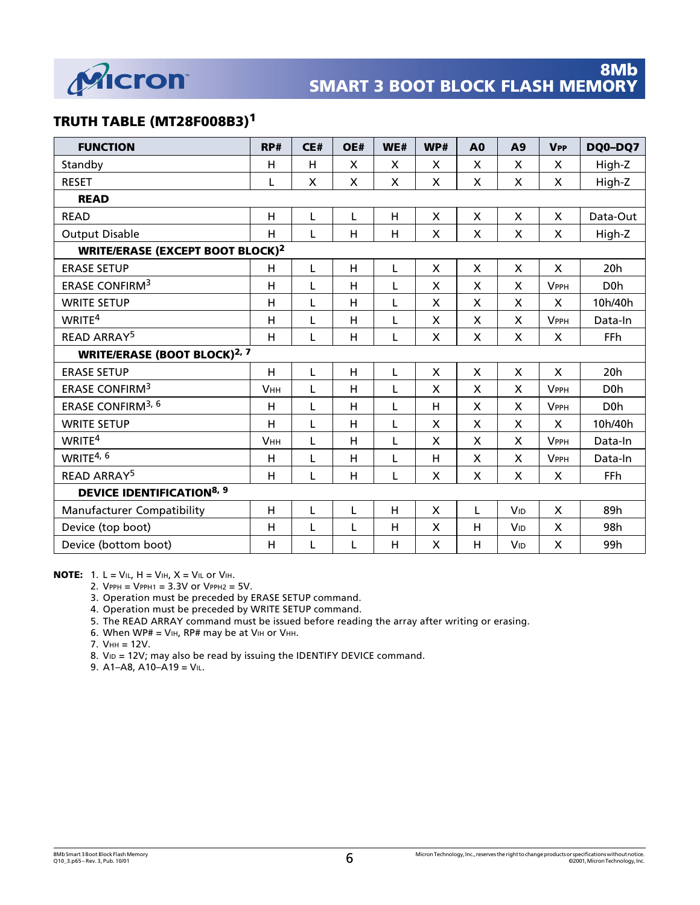

## **TRUTH TABLE (MT28F008B3)1**

| <b>FUNCTION</b>                                    | RP#            | CE# | OE# | WE# | WP#                       | A <sub>0</sub>     | A9                        | <b>VPP</b>                | DQ0-DQ7          |
|----------------------------------------------------|----------------|-----|-----|-----|---------------------------|--------------------|---------------------------|---------------------------|------------------|
| Standby                                            | H              | Н   | X   | X   | X                         | X                  | X                         | X                         | High-Z           |
| <b>RESET</b>                                       | L              | X   | X   | X   | X                         | X                  | X                         | X                         | High-Z           |
| <b>READ</b>                                        |                |     |     |     |                           |                    |                           |                           |                  |
| <b>READ</b>                                        | H              | L   | L   | H   | X                         | X                  | $\boldsymbol{\mathsf{X}}$ | X                         | Data-Out         |
| <b>Output Disable</b>                              | H              | L   | H   | H   | $\pmb{\times}$            | X                  | X                         | X                         | High-Z           |
| <b>WRITE/ERASE (EXCEPT BOOT BLOCK)<sup>2</sup></b> |                |     |     |     |                           |                    |                           |                           |                  |
| <b>ERASE SETUP</b>                                 | H              | L   | H   | L   | $\mathsf{x}$              | $\mathsf{x}$       | $\boldsymbol{\mathsf{X}}$ | $\boldsymbol{\mathsf{X}}$ | 20h              |
| <b>ERASE CONFIRM3</b>                              | $\overline{H}$ | L   | Н   | L   | X                         | X                  | $\boldsymbol{\mathsf{X}}$ | <b>VPPH</b>               | D <sub>0</sub> h |
| <b>WRITE SETUP</b>                                 | $\overline{H}$ | L   | H   | L   | X                         | X                  | $\boldsymbol{\mathsf{X}}$ | $\boldsymbol{\mathsf{X}}$ | 10h/40h          |
| WRITE <sup>4</sup>                                 | H              | L   | H   | L   | X                         | X                  | X                         | <b>VPPH</b>               | Data-In          |
| <b>READ ARRAY<sup>5</sup></b>                      | H              | L   | H   | L   | X                         | X                  | X                         | X                         | FFh              |
| <b>WRITE/ERASE (BOOT BLOCK)<sup>2, 7</sup></b>     |                |     |     |     |                           |                    |                           |                           |                  |
| <b>ERASE SETUP</b>                                 | H              | L   | H   | L   | $\mathsf{x}$              | $\mathsf{x}$       | $\boldsymbol{\mathsf{X}}$ | $\mathsf{x}$              | 20h              |
| ERASE CONFIRM <sup>3</sup>                         | <b>VHH</b>     | L   | H   | L   | X                         | X                  | X                         | <b>VPPH</b>               | D <sub>0</sub> h |
| ERASE CONFIRM <sup>3, 6</sup>                      | H              | L   | H   | L   | н                         | X                  | X                         | <b>VPPH</b>               | D <sub>0</sub> h |
| <b>WRITE SETUP</b>                                 | H              | L   | H   | L   | X                         | X                  | X                         | X                         | 10h/40h          |
| WRITE <sup>4</sup>                                 | <b>VHH</b>     | L   | H   | L   | $\boldsymbol{\mathsf{X}}$ | $\mathsf{x}$       | $\mathsf{x}$              | <b>VPPH</b>               | Data-In          |
| WRITE <sup>4, 6</sup>                              | $\overline{H}$ | L   | H   | L   | H                         | $\mathsf{x}$       | X                         | <b>VPPH</b>               | Data-In          |
| <b>READ ARRAY5</b>                                 | $\overline{H}$ | L   | H   | L   | X                         | $\pmb{\mathsf{X}}$ | $\boldsymbol{\mathsf{X}}$ | $\boldsymbol{\mathsf{X}}$ | FFh              |
| <b>DEVICE IDENTIFICATION<sup>8, 9</sup></b>        |                |     |     |     |                           |                    |                           |                           |                  |
| <b>Manufacturer Compatibility</b>                  | H              | L   | L   | H   | X                         | L                  | <b>V<sub>ID</sub></b>     | X                         | 89h              |
| Device (top boot)                                  | $\overline{H}$ | L   | L   | н   | X                         | н                  | <b>V<sub>ID</sub></b>     | X                         | 98h              |
| Device (bottom boot)                               | Н              | L   | L   | Н   | X                         | H                  | VID                       | $\pmb{\times}$            | 99h              |

**NOTE:** 1.  $L = V_{IL}$ ,  $H = V_{IH}$ ,  $X = V_{IL}$  or  $V_{IH}$ .

2.  $V$ PPH =  $V$ PPH1 =  $3.3V$  or  $V$ PPH2 =  $5V$ .

3. Operation must be preceded by ERASE SETUP command.

4. Operation must be preceded by WRITE SETUP command.

5. The READ ARRAY command must be issued before reading the array after writing or erasing.

6. When WP# = VIH, RP# may be at VIH or VHH.

7. VHH = 12V.

8. V<sub>ID</sub> = 12V; may also be read by issuing the IDENTIFY DEVICE command.

9.  $A1 - A8$ ,  $A10 - A19 = V1$ .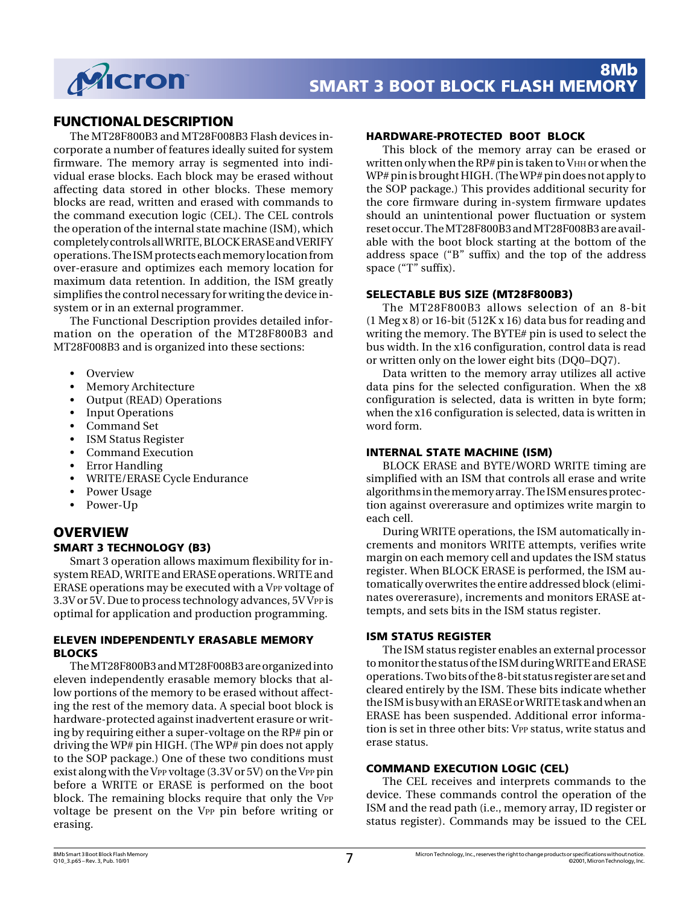

## **FUNCTIONAL DESCRIPTION**

The MT28F800B3 and MT28F008B3 Flash devices incorporate a number of features ideally suited for system firmware. The memory array is segmented into individual erase blocks. Each block may be erased without affecting data stored in other blocks. These memory blocks are read, written and erased with commands to the command execution logic (CEL). The CEL controls the operation of the internal state machine (ISM), which completely controls all WRITE, BLOCK ERASE and VERIFY operations. The ISM protects each memory location from over-erasure and optimizes each memory location for maximum data retention. In addition, the ISM greatly simplifies the control necessary for writing the device insystem or in an external programmer.

The Functional Description provides detailed information on the operation of the MT28F800B3 and MT28F008B3 and is organized into these sections:

- Overview
- Memory Architecture
- Output (READ) Operations
- Input Operations
- Command Set
- ISM Status Register
- Command Execution
- Error Handling
- WRITE/ERASE Cycle Endurance
- Power Usage
- Power-Up

## **OVERVIEW**

#### **SMART 3 TECHNOLOGY (B3)**

Smart 3 operation allows maximum flexibility for insystem READ, WRITE and ERASE operations. WRITE and ERASE operations may be executed with a VPP voltage of 3.3V or 5V. Due to process technology advances, 5V VPP is optimal for application and production programming.

#### **ELEVEN INDEPENDENTLY ERASABLE MEMORY BLOCKS**

The MT28F800B3 and MT28F008B3 are organized into eleven independently erasable memory blocks that allow portions of the memory to be erased without affecting the rest of the memory data. A special boot block is hardware-protected against inadvertent erasure or writing by requiring either a super-voltage on the RP# pin or driving the WP# pin HIGH. (The WP# pin does not apply to the SOP package.) One of these two conditions must exist along with the VPP voltage (3.3V or 5V) on the VPP pin before a WRITE or ERASE is performed on the boot block. The remaining blocks require that only the VPP voltage be present on the VPP pin before writing or erasing.

#### **HARDWARE-PROTECTED BOOT BLOCK**

This block of the memory array can be erased or written only when the RP# pin is taken to V $\rm{HH}$  or when the WP# pin is brought HIGH. (The WP# pin does not apply to the SOP package.) This provides additional security for the core firmware during in-system firmware updates should an unintentional power fluctuation or system reset occur. The MT28F800B3 and MT28F008B3 are available with the boot block starting at the bottom of the address space ("B" suffix) and the top of the address space ("T" suffix).

#### **SELECTABLE BUS SIZE (MT28F800B3)**

The MT28F800B3 allows selection of an 8-bit (1 Meg x 8) or 16-bit (512K x 16) data bus for reading and writing the memory. The BYTE# pin is used to select the bus width. In the x16 configuration, control data is read or written only on the lower eight bits (DQ0–DQ7).

Data written to the memory array utilizes all active data pins for the selected configuration. When the x8 configuration is selected, data is written in byte form; when the x16 configuration is selected, data is written in word form.

#### **INTERNAL STATE MACHINE (ISM)**

BLOCK ERASE and BYTE/WORD WRITE timing are simplified with an ISM that controls all erase and write algorithms in the memory array. The ISM ensures protection against overerasure and optimizes write margin to each cell.

During WRITE operations, the ISM automatically increments and monitors WRITE attempts, verifies write margin on each memory cell and updates the ISM status register. When BLOCK ERASE is performed, the ISM automatically overwrites the entire addressed block (eliminates overerasure), increments and monitors ERASE attempts, and sets bits in the ISM status register.

#### **ISM STATUS REGISTER**

The ISM status register enables an external processor to monitor the status of the ISM during WRITE and ERASE operations. Two bits of the 8-bit status register are set and cleared entirely by the ISM. These bits indicate whether the ISM is busy with an ERASE or WRITE task and when an ERASE has been suspended. Additional error information is set in three other bits: VPP status, write status and erase status.

#### **COMMAND EXECUTION LOGIC (CEL)**

The CEL receives and interprets commands to the device. These commands control the operation of the ISM and the read path (i.e., memory array, ID register or status register). Commands may be issued to the CEL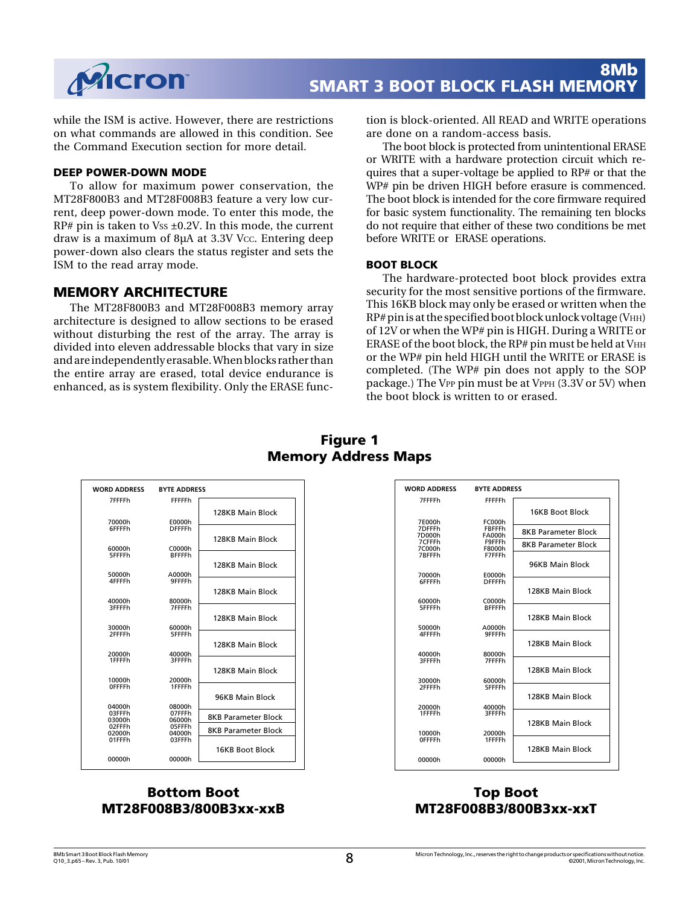

while the ISM is active. However, there are restrictions on what commands are allowed in this condition. See the Command Execution section for more detail.

#### **DEEP POWER-DOWN MODE**

To allow for maximum power conservation, the MT28F800B3 and MT28F008B3 feature a very low current, deep power-down mode. To enter this mode, the  $RP#$  pin is taken to Vss  $\pm 0.2V$ . In this mode, the current draw is a maximum of 8µA at 3.3V Vcc. Entering deep power-down also clears the status register and sets the ISM to the read array mode.

### **MEMORY ARCHITECTURE**

The MT28F800B3 and MT28F008B3 memory array architecture is designed to allow sections to be erased without disturbing the rest of the array. The array is divided into eleven addressable blocks that vary in size and are independently erasable. When blocks rather than the entire array are erased, total device endurance is enhanced, as is system flexibility. Only the ERASE function is block-oriented. All READ and WRITE operations are done on a random-access basis.

The boot block is protected from unintentional ERASE or WRITE with a hardware protection circuit which requires that a super-voltage be applied to RP# or that the WP# pin be driven HIGH before erasure is commenced. The boot block is intended for the core firmware required for basic system functionality. The remaining ten blocks do not require that either of these two conditions be met before WRITE or ERASE operations.

#### **BOOT BLOCK**

The hardware-protected boot block provides extra security for the most sensitive portions of the firmware. This 16KB block may only be erased or written when the  $RP#$  pin is at the specified boot block unlock voltage (V $HH$ ) of 12V or when the WP# pin is HIGH. During a WRITE or ERASE of the boot block, the RP# pin must be held at VHH or the WP# pin held HIGH until the WRITE or ERASE is completed. (The WP# pin does not apply to the SOP package.) The VPP pin must be at VPPH (3.3V or 5V) when the boot block is written to or erased.

| <b>WORD ADDRESS</b>     | <b>BYTE ADDRESS</b> |                            |
|-------------------------|---------------------|----------------------------|
| 7FFFFh                  | FFFFFh              |                            |
|                         |                     | 128KB Main Block           |
| 70000h                  | E0000h              |                            |
| 6FFFFh                  | <b>DFFFFh</b>       |                            |
|                         |                     | 128KB Main Block           |
| 60000h                  | C0000h              |                            |
| 5FFFFh                  | <b>RFFFFh</b>       |                            |
|                         |                     | 128KB Main Block           |
| 50000h                  | A0000h              |                            |
| 4FFFFh                  | 9FFFFh              |                            |
|                         |                     | 128KB Main Block           |
| 40000h                  | 80000h              |                            |
| 3FFFFh                  | 7FFFFh              |                            |
|                         |                     | 128KB Main Block           |
| 30000h                  | 60000h              |                            |
| 2FFFFh                  | 5FFFFh              |                            |
|                         |                     | 128KB Main Block           |
| 20000h                  | 40000h              |                            |
| 1FFFFh                  | 3FFFFh              |                            |
|                         |                     | 128KB Main Block           |
| 10000h<br><b>OFFFFh</b> | 20000h<br>1FFFFh    |                            |
|                         |                     |                            |
|                         |                     | 96KB Main Block            |
| 04000h<br>03FFFh        | 08000h<br>07FFFh    |                            |
| 03000h                  | 06000h              | <b>8KB Parameter Block</b> |
| 02FFFh                  | 05FFFh              | <b>8KB Parameter Block</b> |
| 02000h<br>01FFFh        | 04000h<br>03FFFh    |                            |
|                         |                     | 16KB Boot Block            |
| 00000h                  | 00000h              |                            |
|                         |                     |                            |

## **Figure 1 Memory Address Maps**

| <b>WORD ADDRESS</b>        | <b>BYTE ADDRESS</b>               |                            |
|----------------------------|-----------------------------------|----------------------------|
| 7FFFFh                     | FFFFFh                            | 16KB Boot Block            |
| 7E000h<br>7DFFFh<br>7D000h | FC000h<br>FBFFFh<br><b>FA000h</b> | <b>8KB Parameter Block</b> |
| 7CFFFh<br>7C000h           | F9FFFh<br>F8000h                  | <b>8KB Parameter Block</b> |
| 7BFFFh                     | F7FFFh                            | 96KB Main Block            |
| 70000h<br>6FFFFh           | E0000h<br><b>DFFFFh</b>           |                            |
| 60000h                     | C0000h                            | 128KB Main Block           |
| 5FFFFh                     | <b>BFFFFh</b>                     | 128KB Main Block           |
| 50000h<br>4FFFFh           | A0000h<br>9FFFFh                  |                            |
| 40000h                     | 80000h                            | 128KB Main Block           |
| <b>REFFEH</b>              | 7FFFFh                            | 128KB Main Block           |
| 30000h<br>2FFFFh           | 60000h<br>5FFFFh                  |                            |
|                            |                                   | 128KB Main Block           |
| 20000h<br>1FFFFh           | 40000h<br>3FFFFh                  | 128KB Main Block           |
| 10000h<br><b>OFFFFh</b>    | 20000h<br>1FFFFh                  |                            |
|                            |                                   | 128KB Main Block           |
| 00000h                     | 00000h                            |                            |
|                            |                                   |                            |

## **Bottom Boot MT28F008B3/800B3xx-xxB**

## **Top Boot MT28F008B3/800B3xx-xxT**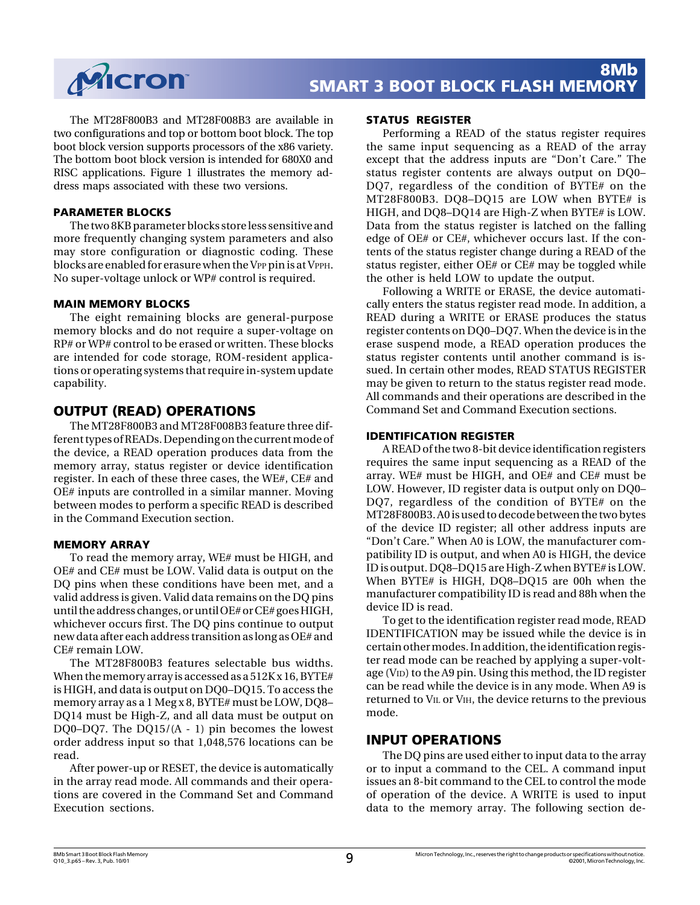

The MT28F800B3 and MT28F008B3 are available in two configurations and top or bottom boot block. The top boot block version supports processors of the x86 variety. The bottom boot block version is intended for 680X0 and RISC applications. Figure 1 illustrates the memory address maps associated with these two versions.

#### **PARAMETER BLOCKS**

The two 8KB parameter blocks store less sensitive and more frequently changing system parameters and also may store configuration or diagnostic coding. These blocks are enabled for erasure when the VPP pin is at VPPH. No super-voltage unlock or WP# control is required.

#### **MAIN MEMORY BLOCKS**

The eight remaining blocks are general-purpose memory blocks and do not require a super-voltage on RP# or WP# control to be erased or written. These blocks are intended for code storage, ROM-resident applications or operating systems that require in-system update capability.

## **OUTPUT (READ) OPERATIONS**

The MT28F800B3 and MT28F008B3 feature three different types of READs. Depending on the current mode of the device, a READ operation produces data from the memory array, status register or device identification register. In each of these three cases, the WE#, CE# and OE# inputs are controlled in a similar manner. Moving between modes to perform a specific READ is described in the Command Execution section.

#### **MEMORY ARRAY**

To read the memory array, WE# must be HIGH, and OE# and CE# must be LOW. Valid data is output on the DQ pins when these conditions have been met, and a valid address is given. Valid data remains on the DQ pins until the address changes, or until OE# or CE# goes HIGH, whichever occurs first. The DQ pins continue to output new data after each address transition as long as OE# and CE# remain LOW.

The MT28F800B3 features selectable bus widths. When the memory array is accessed as a 512K x 16, BYTE# is HIGH, and data is output on DQ0–DQ15. To access the memory array as a 1 Meg x 8, BYTE# must be LOW, DQ8– DQ14 must be High-Z, and all data must be output on DQ0–DQ7. The DQ15/(A - 1) pin becomes the lowest order address input so that 1,048,576 locations can be read.

After power-up or RESET, the device is automatically in the array read mode. All commands and their operations are covered in the Command Set and Command Execution sections.

#### **STATUS REGISTER**

Performing a READ of the status register requires the same input sequencing as a READ of the array except that the address inputs are "Don't Care." The status register contents are always output on DQ0– DQ7, regardless of the condition of BYTE# on the MT28F800B3. DQ8–DQ15 are LOW when BYTE# is HIGH, and DQ8–DQ14 are High-Z when BYTE# is LOW. Data from the status register is latched on the falling edge of OE# or CE#, whichever occurs last. If the contents of the status register change during a READ of the status register, either OE# or CE# may be toggled while the other is held LOW to update the output.

Following a WRITE or ERASE, the device automatically enters the status register read mode. In addition, a READ during a WRITE or ERASE produces the status register contents on DQ0–DQ7. When the device is in the erase suspend mode, a READ operation produces the status register contents until another command is issued. In certain other modes, READ STATUS REGISTER may be given to return to the status register read mode. All commands and their operations are described in the Command Set and Command Execution sections.

#### **IDENTIFICATION REGISTER**

A READ of the two 8-bit device identification registers requires the same input sequencing as a READ of the array. WE# must be HIGH, and OE# and CE# must be LOW. However, ID register data is output only on DQ0– DQ7, regardless of the condition of BYTE# on the MT28F800B3. A0 is used to decode between the two bytes of the device ID register; all other address inputs are "Don't Care." When A0 is LOW, the manufacturer compatibility ID is output, and when A0 is HIGH, the device ID is output. DQ8–DQ15 are High-Z when BYTE# is LOW. When BYTE# is HIGH, DQ8–DQ15 are 00h when the manufacturer compatibility ID is read and 88h when the device ID is read.

To get to the identification register read mode, READ IDENTIFICATION may be issued while the device is in certain other modes. In addition, the identification register read mode can be reached by applying a super-voltage (VID) to the A9 pin. Using this method, the ID register can be read while the device is in any mode. When A9 is returned to VIL or VIH, the device returns to the previous mode.

#### **INPUT OPERATIONS**

The DQ pins are used either to input data to the array or to input a command to the CEL. A command input issues an 8-bit command to the CEL to control the mode of operation of the device. A WRITE is used to input data to the memory array. The following section de-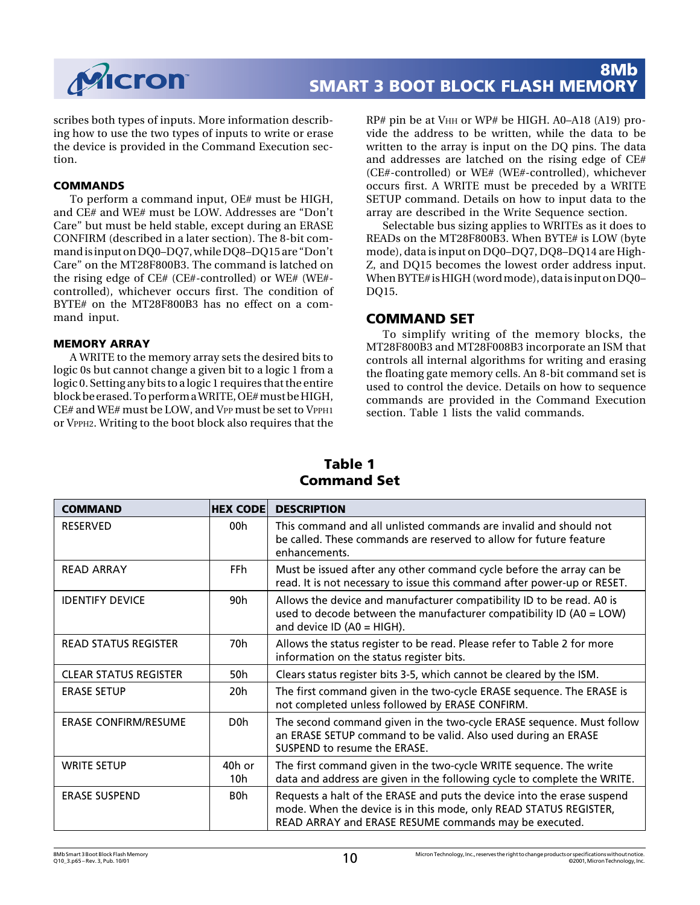

scribes both types of inputs. More information describing how to use the two types of inputs to write or erase the device is provided in the Command Execution section.

#### **COMMANDS**

To perform a command input, OE# must be HIGH, and CE# and WE# must be LOW. Addresses are "Don't Care" but must be held stable, except during an ERASE CONFIRM (described in a later section). The 8-bit command is input on DQ0–DQ7, while DQ8–DQ15 are "Don't Care" on the MT28F800B3. The command is latched on the rising edge of CE# (CE#-controlled) or WE# (WE# controlled), whichever occurs first. The condition of BYTE# on the MT28F800B3 has no effect on a command input.

#### **MEMORY ARRAY**

A WRITE to the memory array sets the desired bits to logic 0s but cannot change a given bit to a logic 1 from a logic 0. Setting any bits to a logic 1 requires that the entire block be erased. To perform a WRITE, OE# must be HIGH, CE# and WE# must be LOW, and VPP must be set to VPPH1 or VPPH2. Writing to the boot block also requires that the RP# pin be at VHH or WP# be HIGH. A0–A18 (A19) provide the address to be written, while the data to be written to the array is input on the DQ pins. The data and addresses are latched on the rising edge of CE# (CE#-controlled) or WE# (WE#-controlled), whichever occurs first. A WRITE must be preceded by a WRITE SETUP command. Details on how to input data to the array are described in the Write Sequence section.

Selectable bus sizing applies to WRITEs as it does to READs on the MT28F800B3. When BYTE# is LOW (byte mode), data is input on DQ0–DQ7, DQ8–DQ14 are High-Z, and DQ15 becomes the lowest order address input. When BYTE# is HIGH (word mode), data is input on DQ0– DQ15.

### **COMMAND SET**

To simplify writing of the memory blocks, the MT28F800B3 and MT28F008B3 incorporate an ISM that controls all internal algorithms for writing and erasing the floating gate memory cells. An 8-bit command set is used to control the device. Details on how to sequence commands are provided in the Command Execution section. Table 1 lists the valid commands.

| <b>COMMAND</b>               | <b>HEX CODE</b>  | <b>DESCRIPTION</b>                                                                                                                                                                                    |
|------------------------------|------------------|-------------------------------------------------------------------------------------------------------------------------------------------------------------------------------------------------------|
| <b>RESERVED</b>              | 00h              | This command and all unlisted commands are invalid and should not<br>be called. These commands are reserved to allow for future feature<br>enhancements.                                              |
| <b>READ ARRAY</b>            | FFh.             | Must be issued after any other command cycle before the array can be<br>read. It is not necessary to issue this command after power-up or RESET.                                                      |
| <b>IDENTIFY DEVICE</b>       | 90h              | Allows the device and manufacturer compatibility ID to be read. A0 is<br>used to decode between the manufacturer compatibility ID (A0 = LOW)<br>and device ID (A0 = HIGH).                            |
| <b>READ STATUS REGISTER</b>  | 70h              | Allows the status register to be read. Please refer to Table 2 for more<br>information on the status register bits.                                                                                   |
| <b>CLEAR STATUS REGISTER</b> | 50h              | Clears status register bits 3-5, which cannot be cleared by the ISM.                                                                                                                                  |
| <b>ERASE SETUP</b>           | 20h              | The first command given in the two-cycle ERASE sequence. The ERASE is<br>not completed unless followed by ERASE CONFIRM.                                                                              |
| <b>ERASE CONFIRM/RESUME</b>  | D <sub>0</sub> h | The second command given in the two-cycle ERASE sequence. Must follow<br>an ERASE SETUP command to be valid. Also used during an ERASE<br>SUSPEND to resume the ERASE.                                |
| <b>WRITE SETUP</b>           | 40h or<br>10h    | The first command given in the two-cycle WRITE sequence. The write<br>data and address are given in the following cycle to complete the WRITE.                                                        |
| <b>ERASE SUSPEND</b>         | B0h              | Requests a halt of the ERASE and puts the device into the erase suspend<br>mode. When the device is in this mode, only READ STATUS REGISTER,<br>READ ARRAY and ERASE RESUME commands may be executed. |

## **Table 1 Command Set**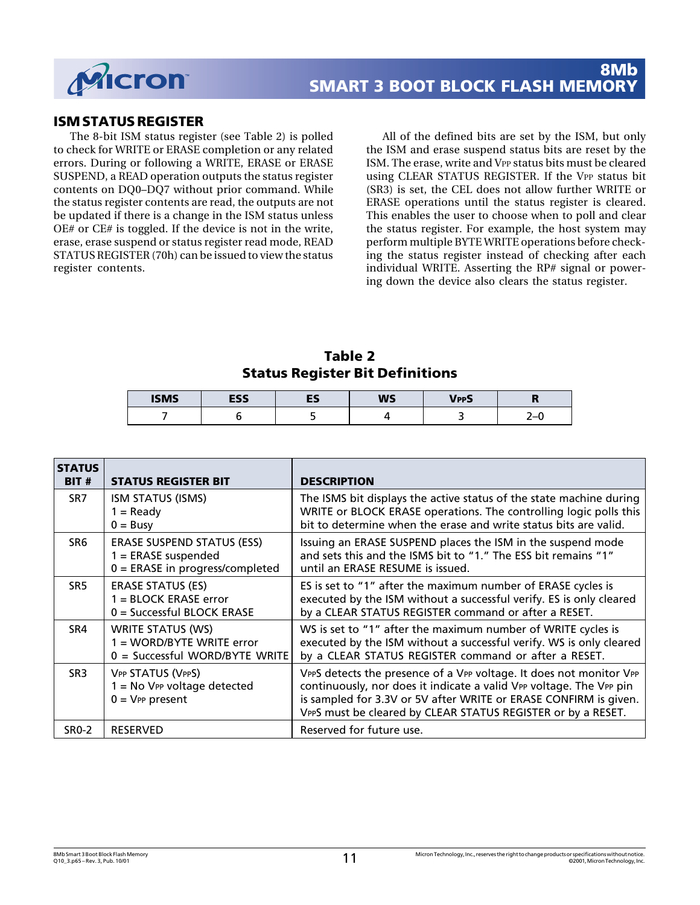

## **ISM STATUS REGISTER**

The 8-bit ISM status register (see Table 2) is polled to check for WRITE or ERASE completion or any related errors. During or following a WRITE, ERASE or ERASE SUSPEND, a READ operation outputs the status register contents on DQ0–DQ7 without prior command. While the status register contents are read, the outputs are not be updated if there is a change in the ISM status unless OE# or CE# is toggled. If the device is not in the write, erase, erase suspend or status register read mode, READ STATUS REGISTER (70h) can be issued to view the status register contents.

All of the defined bits are set by the ISM, but only the ISM and erase suspend status bits are reset by the ISM. The erase, write and VPP status bits must be cleared using CLEAR STATUS REGISTER. If the VPP status bit (SR3) is set, the CEL does not allow further WRITE or ERASE operations until the status register is cleared. This enables the user to choose when to poll and clear the status register. For example, the host system may perform multiple BYTE WRITE operations before checking the status register instead of checking after each individual WRITE. Asserting the RP# signal or powering down the device also clears the status register.

**Table 2 Status Register Bit Definitions**

| <b>ISMS</b> | ECC<br>ᇋᇰ | --<br>-- | <b>WS</b> | <b>VPPS</b> | ш               |
|-------------|-----------|----------|-----------|-------------|-----------------|
|             |           |          |           |             | ′−ւ<br><u>.</u> |

| <b>STATUS</b><br>BIT# | <b>STATUS REGISTER BIT</b>                                                                      | <b>DESCRIPTION</b>                                                                                                                                                                                                                                                             |
|-----------------------|-------------------------------------------------------------------------------------------------|--------------------------------------------------------------------------------------------------------------------------------------------------------------------------------------------------------------------------------------------------------------------------------|
| SR <sub>7</sub>       | ISM STATUS (ISMS)<br>$1 =$ Ready<br>$0 = B$ usy                                                 | The ISMS bit displays the active status of the state machine during<br>WRITE or BLOCK ERASE operations. The controlling logic polls this<br>bit to determine when the erase and write status bits are valid.                                                                   |
| SR <sub>6</sub>       | <b>ERASE SUSPEND STATUS (ESS)</b><br>$1 =$ ERASE suspended<br>$0 =$ ERASE in progress/completed | Issuing an ERASE SUSPEND places the ISM in the suspend mode<br>and sets this and the ISMS bit to "1." The ESS bit remains "1"<br>until an ERASE RESUME is issued.                                                                                                              |
| SR5                   | <b>ERASE STATUS (ES)</b><br>$1 = BLOCK$ ERASE error<br>$0 =$ Successful BLOCK ERASE             | ES is set to "1" after the maximum number of ERASE cycles is<br>executed by the ISM without a successful verify. ES is only cleared<br>by a CLEAR STATUS REGISTER command or after a RESET.                                                                                    |
| SR4                   | <b>WRITE STATUS (WS)</b><br>1 = WORD/BYTE WRITE error<br>$0 =$ Successful WORD/BYTE WRITE       | WS is set to "1" after the maximum number of WRITE cycles is<br>executed by the ISM without a successful verify. WS is only cleared<br>by a CLEAR STATUS REGISTER command or after a RESET.                                                                                    |
| SR <sub>3</sub>       | VPP STATUS (VPPS)<br>$1 = No$ VPP voltage detected<br>$0 = V_{PP}$ present                      | VPPS detects the presence of a VPP voltage. It does not monitor VPP<br>continuously, nor does it indicate a valid VPP voltage. The VPP pin<br>is sampled for 3.3V or 5V after WRITE or ERASE CONFIRM is given.<br>VPPS must be cleared by CLEAR STATUS REGISTER or by a RESET. |
| SR0-2                 | <b>RESERVED</b>                                                                                 | Reserved for future use.                                                                                                                                                                                                                                                       |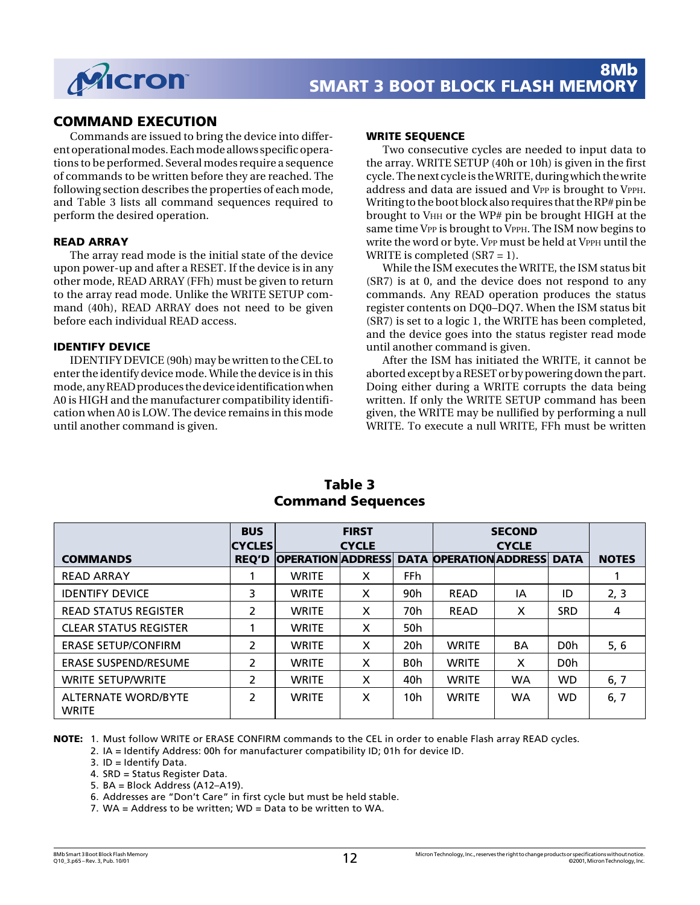

## **COMMAND EXECUTION**

Commands are issued to bring the device into different operational modes. Each mode allows specific operations to be performed. Several modes require a sequence of commands to be written before they are reached. The following section describes the properties of each mode, and Table 3 lists all command sequences required to perform the desired operation.

#### **READ ARRAY**

The array read mode is the initial state of the device upon power-up and after a RESET. If the device is in any other mode, READ ARRAY (FFh) must be given to return to the array read mode. Unlike the WRITE SETUP command (40h), READ ARRAY does not need to be given before each individual READ access.

#### **IDENTIFY DEVICE**

IDENTIFY DEVICE (90h) may be written to the CEL to enter the identify device mode. While the device is in this mode, any READ produces the device identification when A0 is HIGH and the manufacturer compatibility identification when A0 is LOW. The device remains in this mode until another command is given.

#### **WRITE SEQUENCE**

Two consecutive cycles are needed to input data to the array. WRITE SETUP (40h or 10h) is given in the first cycle. The next cycle is the WRITE, during which the write address and data are issued and VPP is brought to VPPH. Writing to the boot block also requires that the RP# pin be brought to VHH or the WP# pin be brought HIGH at the same time VPP is brought to VPPH. The ISM now begins to write the word or byte. VPP must be held at VPPH until the WRITE is completed  $(SR7 = 1)$ .

While the ISM executes the WRITE, the ISM status bit (SR7) is at 0, and the device does not respond to any commands. Any READ operation produces the status register contents on DQ0–DQ7. When the ISM status bit (SR7) is set to a logic 1, the WRITE has been completed, and the device goes into the status register read mode until another command is given.

After the ISM has initiated the WRITE, it cannot be aborted except by a RESET or by powering down the part. Doing either during a WRITE corrupts the data being written. If only the WRITE SETUP command has been given, the WRITE may be nullified by performing a null WRITE. To execute a null WRITE, FFh must be written

|                                            | <b>BUS</b><br><b>CYCLES</b> |                          | <b>FIRST</b><br><b>CYCLE</b> |                  |                               | <b>SECOND</b><br><b>CYCLE</b> |                  |              |
|--------------------------------------------|-----------------------------|--------------------------|------------------------------|------------------|-------------------------------|-------------------------------|------------------|--------------|
| <b>COMMANDS</b>                            | <b>REO'D</b>                | <b>OPERATION ADDRESS</b> |                              |                  | <b>DATA OPERATION ADDRESS</b> |                               | <b>DATA</b>      | <b>NOTES</b> |
| <b>READ ARRAY</b>                          |                             | <b>WRITE</b>             | X                            | FFh.             |                               |                               |                  |              |
| <b>IDENTIFY DEVICE</b>                     | 3                           | <b>WRITE</b>             | X                            | 90 <sub>h</sub>  | <b>READ</b>                   | ΙA                            | ID               | 2, 3         |
| <b>READ STATUS REGISTER</b>                | $\overline{\mathcal{L}}$    | <b>WRITE</b>             | X                            | 70h              | <b>READ</b>                   | X                             | <b>SRD</b>       | 4            |
| <b>CLEAR STATUS REGISTER</b>               |                             | <b>WRITE</b>             | X                            | 50 <sub>h</sub>  |                               |                               |                  |              |
| <b>ERASE SETUP/CONFIRM</b>                 | $\overline{2}$              | <b>WRITE</b>             | X                            | 20 <sub>h</sub>  | <b>WRITE</b>                  | <b>BA</b>                     | D <sub>0</sub> h | 5,6          |
| <b>ERASE SUSPEND/RESUME</b>                | 2                           | <b>WRITE</b>             | X                            | B <sub>0</sub> h | <b>WRITE</b>                  | X                             | D <sub>0</sub> h |              |
| <b>WRITE SETUP/WRITE</b>                   | 2                           | <b>WRITE</b>             | X                            | 40h              | <b>WRITE</b>                  | <b>WA</b>                     | <b>WD</b>        | 6, 7         |
| <b>ALTERNATE WORD/BYTE</b><br><b>WRITE</b> | 2                           | <b>WRITE</b>             | x                            | 10 <sub>h</sub>  | <b>WRITE</b>                  | <b>WA</b>                     | <b>WD</b>        | 6, 7         |

## **Table 3 Command Sequences**

**NOTE:** 1. Must follow WRITE or ERASE CONFIRM commands to the CEL in order to enable Flash array READ cycles.

2. IA = Identify Address: 00h for manufacturer compatibility ID; 01h for device ID.

3. ID = Identify Data.

4. SRD = Status Register Data.

5. BA = Block Address (A12–A19).

6. Addresses are "Don't Care" in first cycle but must be held stable.

7. WA = Address to be written; WD = Data to be written to WA.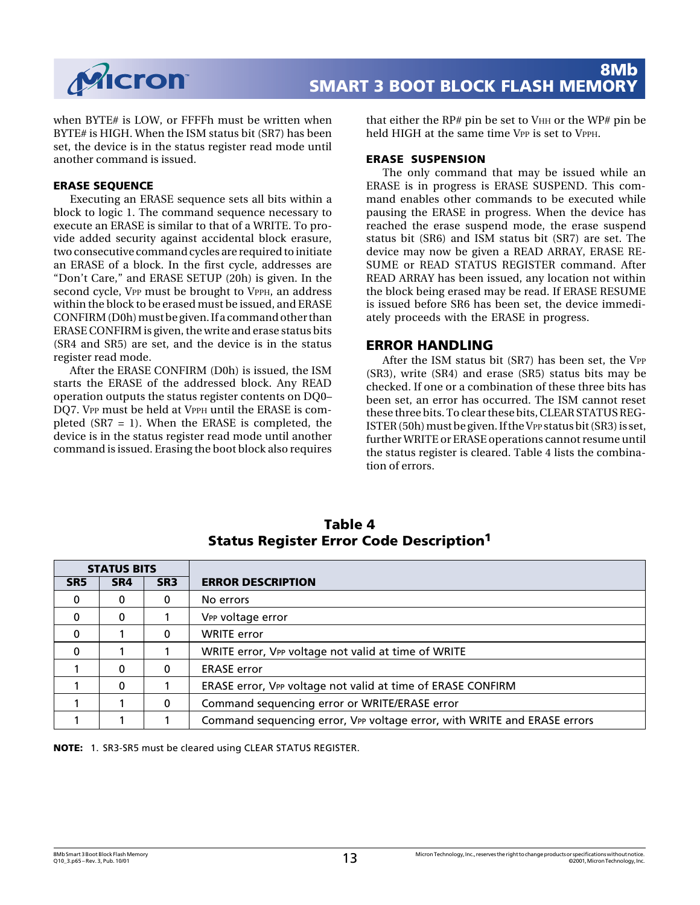

when BYTE# is LOW, or FFFFh must be written when BYTE# is HIGH. When the ISM status bit (SR7) has been set, the device is in the status register read mode until another command is issued.

#### **ERASE SEQUENCE**

Executing an ERASE sequence sets all bits within a block to logic 1. The command sequence necessary to execute an ERASE is similar to that of a WRITE. To provide added security against accidental block erasure, two consecutive command cycles are required to initiate an ERASE of a block. In the first cycle, addresses are "Don't Care," and ERASE SETUP (20h) is given. In the second cycle, VPP must be brought to VPPH, an address within the block to be erased must be issued, and ERASE CONFIRM (D0h) must be given. If a command other than ERASE CONFIRM is given, the write and erase status bits (SR4 and SR5) are set, and the device is in the status register read mode.

After the ERASE CONFIRM (D0h) is issued, the ISM starts the ERASE of the addressed block. Any READ operation outputs the status register contents on DQ0– DO7. VPP must be held at VPPH until the ERASE is completed (SR7 = 1). When the ERASE is completed, the device is in the status register read mode until another command is issued. Erasing the boot block also requires that either the RP# pin be set to  $V<sub>HH</sub>$  or the WP# pin be held HIGH at the same time VPP is set to VPPH.

#### **ERASE SUSPENSION**

The only command that may be issued while an ERASE is in progress is ERASE SUSPEND. This command enables other commands to be executed while pausing the ERASE in progress. When the device has reached the erase suspend mode, the erase suspend status bit (SR6) and ISM status bit (SR7) are set. The device may now be given a READ ARRAY, ERASE RE-SUME or READ STATUS REGISTER command. After READ ARRAY has been issued, any location not within the block being erased may be read. If ERASE RESUME is issued before SR6 has been set, the device immediately proceeds with the ERASE in progress.

#### **ERROR HANDLING**

After the ISM status bit (SR7) has been set, the VPP (SR3), write (SR4) and erase (SR5) status bits may be checked. If one or a combination of these three bits has been set, an error has occurred. The ISM cannot reset these three bits. To clear these bits, CLEAR STATUS REG-ISTER (50h) must be given. If the VPP status bit (SR3) is set, further WRITE or ERASE operations cannot resume until the status register is cleared. Table 4 lists the combination of errors.

| <b>STATUS BITS</b> |     |                 |                                                                          |
|--------------------|-----|-----------------|--------------------------------------------------------------------------|
| SR <sub>5</sub>    | SR4 | SR <sub>3</sub> | <b>ERROR DESCRIPTION</b>                                                 |
| 0                  | 0   | 0               | No errors                                                                |
| $\Omega$           | 0   |                 | V <sub>PP</sub> voltage error                                            |
| $\Omega$           |     | 0               | <b>WRITE</b> error                                                       |
| $\Omega$           |     |                 | WRITE error, VPP voltage not valid at time of WRITE                      |
|                    | 0   | 0               | <b>ERASE</b> error                                                       |
|                    | 0   |                 | ERASE error, VPP voltage not valid at time of ERASE CONFIRM              |
|                    |     | 0               | Command sequencing error or WRITE/ERASE error                            |
|                    |     |                 | Command sequencing error, VPP voltage error, with WRITE and ERASE errors |

**Table 4 Status Register Error Code Description1**

**NOTE:** 1. SR3-SR5 must be cleared using CLEAR STATUS REGISTER.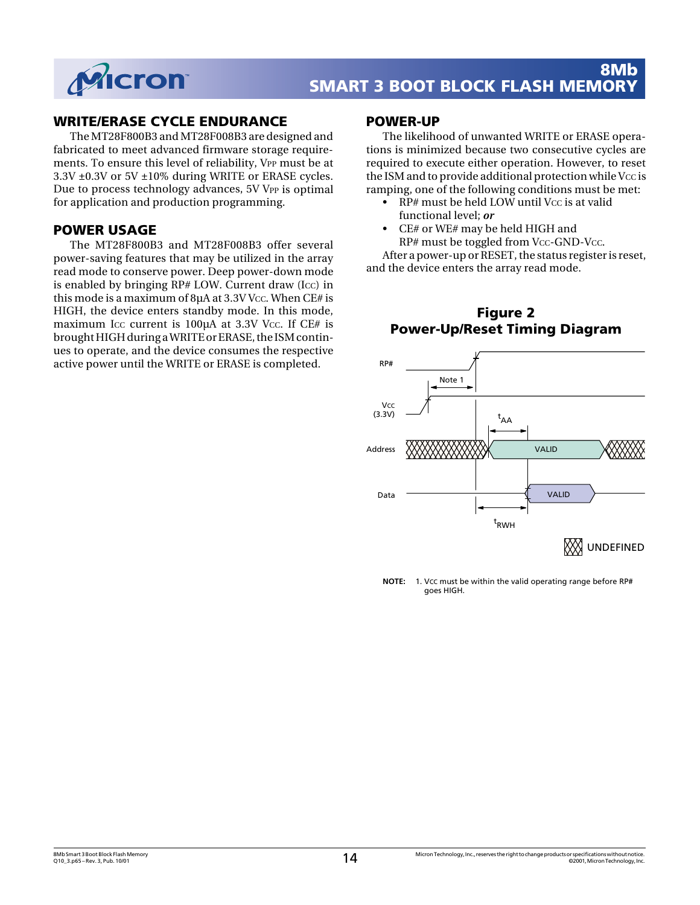

## **WRITE/ERASE CYCLE ENDURANCE**

The MT28F800B3 and MT28F008B3 are designed and fabricated to meet advanced firmware storage requirements. To ensure this level of reliability, VPP must be at 3.3V ±0.3V or 5V ±10% during WRITE or ERASE cycles. Due to process technology advances, 5V VPP is optimal for application and production programming.

### **POWER USAGE**

The MT28F800B3 and MT28F008B3 offer several power-saving features that may be utilized in the array read mode to conserve power. Deep power-down mode is enabled by bringing RP# LOW. Current draw (ICC) in this mode is a maximum of  $8\mu A$  at  $3.3V$  Vcc. When CE# is HIGH, the device enters standby mode. In this mode, maximum Icc current is  $100\mu A$  at 3.3V Vcc. If CE# is brought HIGH during a WRITE or ERASE, the ISM continues to operate, and the device consumes the respective active power until the WRITE or ERASE is completed.

#### **POWER-UP**

The likelihood of unwanted WRITE or ERASE operations is minimized because two consecutive cycles are required to execute either operation. However, to reset the ISM and to provide additional protection while Vcc is ramping, one of the following conditions must be met:

- RP# must be held LOW until Vcc is at valid functional level; *or*
- CE# or WE# may be held HIGH and RP# must be toggled from Vcc-GND-Vcc.

After a power-up or RESET, the status register is reset, and the device enters the array read mode.



**Figure 2 Power-Up/Reset Timing Diagram**

 **NOTE:** 1. VCC must be within the valid operating range before RP# goes HIGH.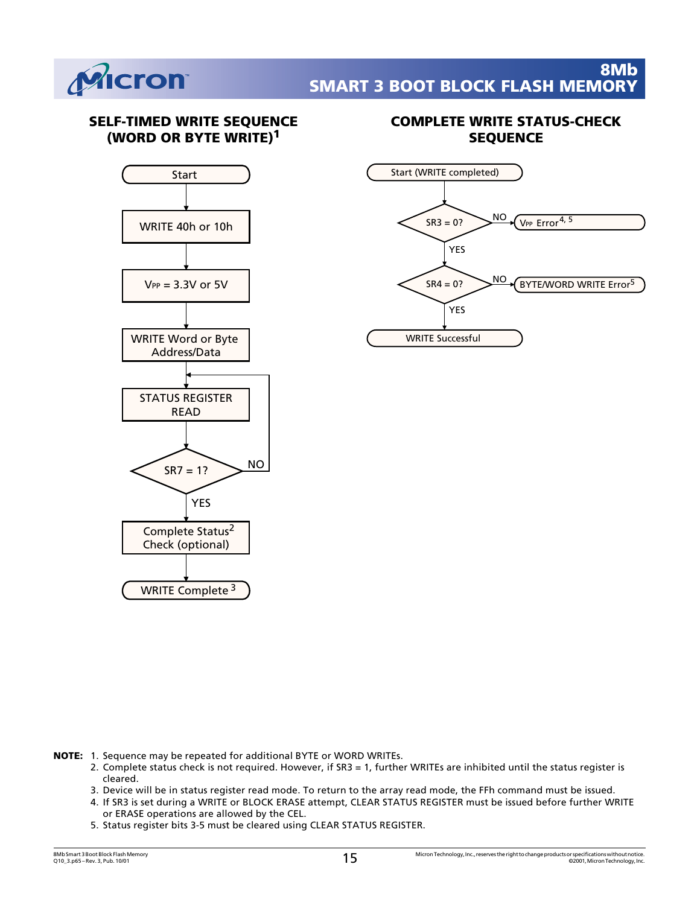

## **SELF-TIMED WRITE SEQUENCE (WORD OR BYTE WRITE)1**



## **COMPLETE WRITE STATUS-CHECK SEQUENCE**



- **NOTE:** 1. Sequence may be repeated for additional BYTE or WORD WRITEs.
	- 2. Complete status check is not required. However, if SR3 = 1, further WRITEs are inhibited until the status register is cleared.
	- 3. Device will be in status register read mode. To return to the array read mode, the FFh command must be issued.
	- 4. If SR3 is set during a WRITE or BLOCK ERASE attempt, CLEAR STATUS REGISTER must be issued before further WRITE or ERASE operations are allowed by the CEL.
	- 5. Status register bits 3-5 must be cleared using CLEAR STATUS REGISTER.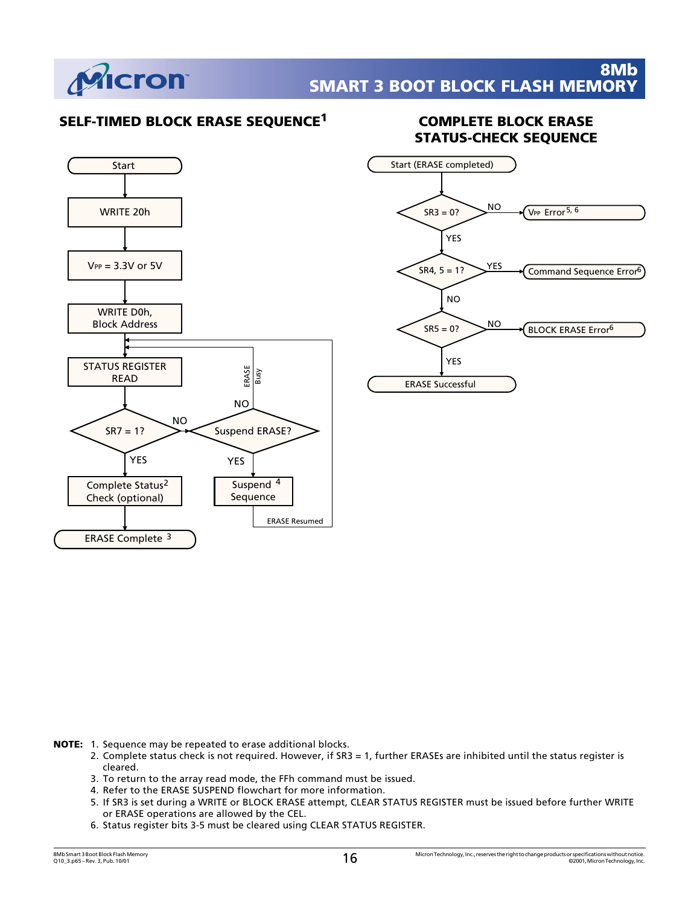

## **SELF-TIMED BLOCK ERASE SEQUENCE1 COMPLETE BLOCK ERASE**



# **STATUS-CHECK SEQUENCE**



**NOTE:** 1. Sequence may be repeated to erase additional blocks.

- 2. Complete status check is not required. However, if SR3 = 1, further ERASEs are inhibited until the status register is cleared.
- 3. To return to the array read mode, the FFh command must be issued.
- 4. Refer to the ERASE SUSPEND flowchart for more information.
- 5. If SR3 is set during a WRITE or BLOCK ERASE attempt, CLEAR STATUS REGISTER must be issued before further WRITE or ERASE operations are allowed by the CEL.
- 6. Status register bits 3-5 must be cleared using CLEAR STATUS REGISTER.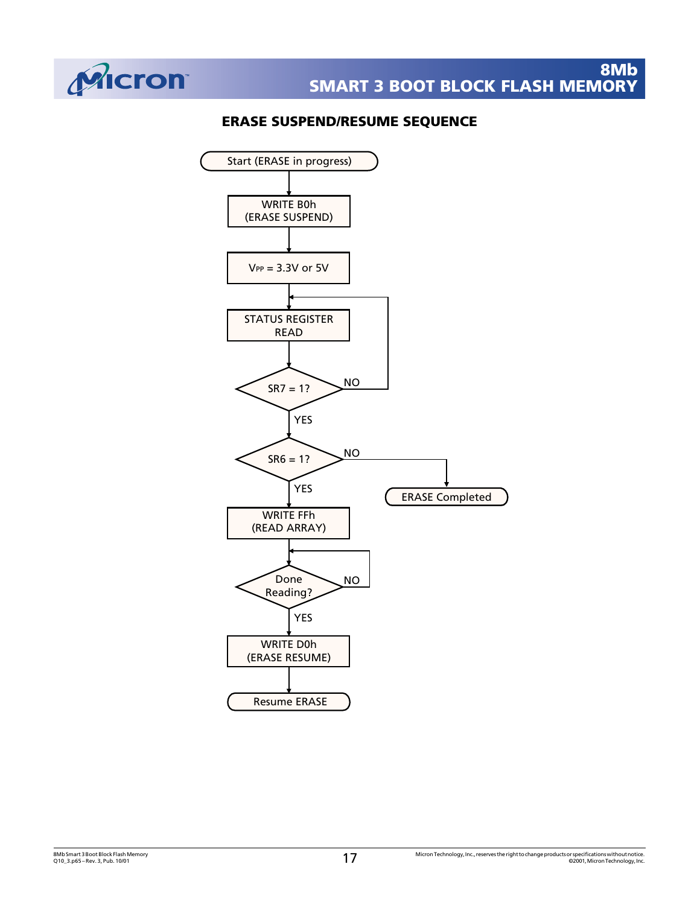

## **ERASE SUSPEND/RESUME SEQUENCE**

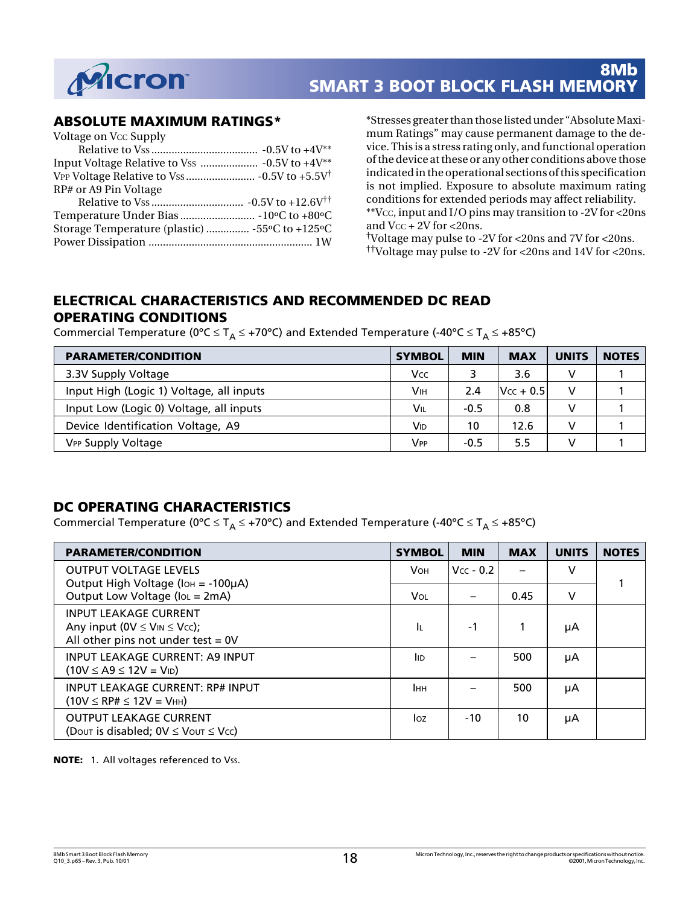

## **ABSOLUTE MAXIMUM RATINGS\***

| Voltage on Vcc Supply                          |  |
|------------------------------------------------|--|
|                                                |  |
|                                                |  |
|                                                |  |
| RP# or A9 Pin Voltage                          |  |
|                                                |  |
|                                                |  |
| Storage Temperature (plastic)  -55°C to +125°C |  |
|                                                |  |
|                                                |  |

\*Stresses greater than those listed under "Absolute Maximum Ratings" may cause permanent damage to the device. This is a stress rating only, and functional operation of the device at these or any other conditions above those indicated in the operational sections of this specification is not implied. Exposure to absolute maximum rating conditions for extended periods may affect reliability. \*\*VCC, input and I/O pins may transition to -2V for <20ns

and Vcc + 2V for <20ns.

†Voltage may pulse to -2V for <20ns and 7V for <20ns. ††Voltage may pulse to -2V for <20ns and 14V for <20ns.

## **ELECTRICAL CHARACTERISTICS AND RECOMMENDED DC READ OPERATING CONDITIONS**

Commercial Temperature (0°C  $\leq T_A \leq +70$ °C) and Extended Temperature (-40°C  $\leq T_A \leq +85$ °C)

| <b>PARAMETER/CONDITION</b>               | <b>SYMBOL</b> | <b>MIN</b> | <b>MAX</b>  | <b>UNITS</b> | <b>NOTES</b> |
|------------------------------------------|---------------|------------|-------------|--------------|--------------|
| 3.3V Supply Voltage                      | Vcc           |            | 3.6         | v            |              |
| Input High (Logic 1) Voltage, all inputs | Vıн           | 2.4        | $Vcc + 0.5$ | v            |              |
| Input Low (Logic 0) Voltage, all inputs  | Vil           | $-0.5$     | 0.8         |              |              |
| Device Identification Voltage, A9        | Vıd           | 10         | 12.6        |              |              |
| <b>VPP Supply Voltage</b>                | Vpp           | $-0.5$     | 5.5         |              |              |

## **DC OPERATING CHARACTERISTICS**

Commercial Temperature (0°C  $\leq T_A \leq +70$ °C) and Extended Temperature (-40°C  $\leq T_A \leq +85$ °C)

| <b>PARAMETER/CONDITION</b>                                                                                          | <b>SYMBOL</b> | <b>MIN</b>  | <b>MAX</b> | <b>UNITS</b> | <b>NOTES</b> |
|---------------------------------------------------------------------------------------------------------------------|---------------|-------------|------------|--------------|--------------|
| <b>OUTPUT VOLTAGE LEVELS</b>                                                                                        | <b>V</b> он   | $Vcc - 0.2$ |            | v            |              |
| Output High Voltage (Iон = -100µA)<br>Output Low Voltage (loL = 2mA)                                                | Vol           |             | 0.45       | v            |              |
| <b>INPUT LEAKAGE CURRENT</b><br>Any input ( $0V \leq V_{IN} \leq V_{CC}$ );<br>All other pins not under test $= 0V$ | ΙL.           | -1          |            | μA           |              |
| <b>INPUT LEAKAGE CURRENT: A9 INPUT</b><br>$(10V \leq A9 \leq 12V = V_{ID})$                                         | <b>I</b> ID   |             | 500        | μA           |              |
| <b>INPUT LEAKAGE CURRENT: RP# INPUT</b><br>$(10V \le RP\# \le 12V = V$ нн)                                          | Інн           |             | 500        | μA           |              |
| <b>OUTPUT LEAKAGE CURRENT</b><br>(Dout is disabled; $0V \leq V$ out $\leq V$ cc)                                    | loz           | $-10$       | 10         | μA           |              |

**NOTE:** 1. All voltages referenced to Vss.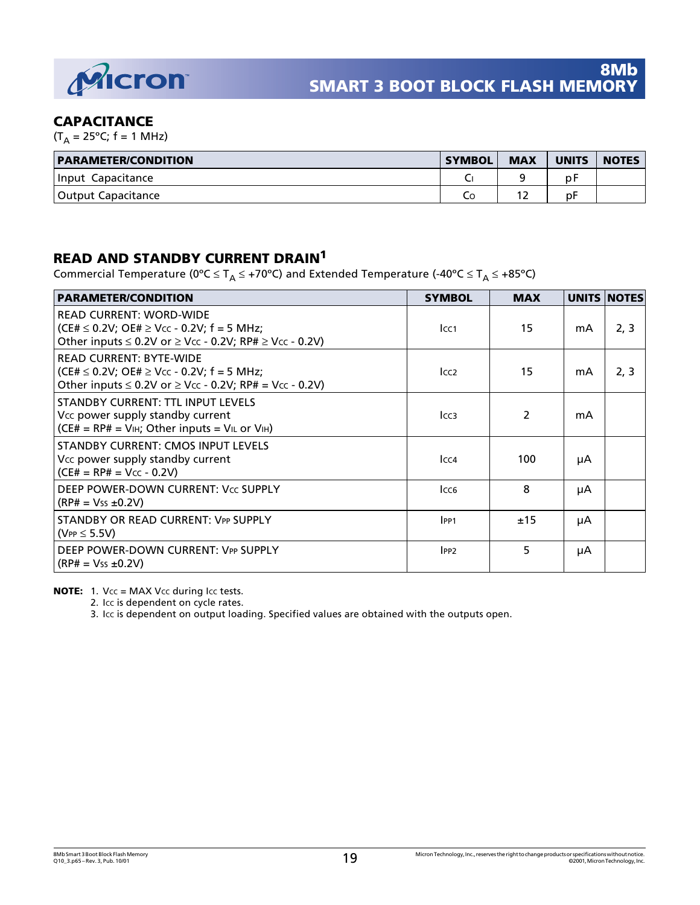

## **CAPACITANCE**

 $(T_A = 25^{\circ}C; f = 1 \text{ MHz})$ 

| <b>PARAMETER/CONDITION</b> | <b>SYMBOL</b> | <b>MAX</b> | <b>UNITS</b> | <b>NOTES</b> |
|----------------------------|---------------|------------|--------------|--------------|
| Input Capacitance          |               |            | p۲           |              |
| Output Capacitance         | ĆС            | -          | p۲           |              |

## **READ AND STANDBY CURRENT DRAIN<sup>1</sup>**

Commercial Temperature (0°C  $\leq T_A \leq +70$ °C) and Extended Temperature (-40°C  $\leq T_A \leq +85$ °C)

| <b>PARAMETER/CONDITION</b>                                                                                                                                     | <b>SYMBOL</b>    | <b>MAX</b> |    | <b>UNITS NOTES</b> |
|----------------------------------------------------------------------------------------------------------------------------------------------------------------|------------------|------------|----|--------------------|
| <b>READ CURRENT: WORD-WIDE</b><br>(CE# $\leq$ 0.2V; OE# $\geq$ Vcc - 0.2V; f = 5 MHz;<br>Other inputs $\leq$ 0.2V or $\geq$ Vcc - 0.2V; RP# $\geq$ Vcc - 0.2V) | Icc <sub>1</sub> | 15         | mA | 2, 3               |
| <b>READ CURRENT: BYTE-WIDE</b><br>(CE# $\leq$ 0.2V; OE# $\geq$ Vcc - 0.2V; f = 5 MHz;<br>Other inputs $\leq 0.2V$ or $\geq V_{CC}$ - 0.2V; RP# = Vcc - 0.2V)   | Icc <sub>2</sub> | 15         | mA | 2, 3               |
| <b>STANDBY CURRENT: TTL INPUT LEVELS</b><br>Vcc power supply standby current<br>$(CE# = RPH = VIH; Other inputs = VIL or VIH)$                                 | Icc <sub>3</sub> | 2          | mA |                    |
| <b>STANDBY CURRENT: CMOS INPUT LEVELS</b><br>Vcc power supply standby current<br>$(CE# = RP# = Vcc - 0.2V)$                                                    | Icc <sub>4</sub> | 100        | μA |                    |
| DEEP POWER-DOWN CURRENT: Vcc SUPPLY<br>$(RP# = Vss ±0.2V)$                                                                                                     | Icc <sub>6</sub> | 8          | μA |                    |
| STANDBY OR READ CURRENT: VPP SUPPLY<br>( $VPP \leq 5.5V$ )                                                                                                     | IPP1             | ±15        | μA |                    |
| DEEP POWER-DOWN CURRENT: VPP SUPPLY<br>$(RP# = Vss ±0.2V)$                                                                                                     | IPP2             | 5          | μA |                    |

**NOTE:** 1. Vcc = MAX Vcc during Icc tests.

2. Icc is dependent on cycle rates.

3. ICC is dependent on output loading. Specified values are obtained with the outputs open.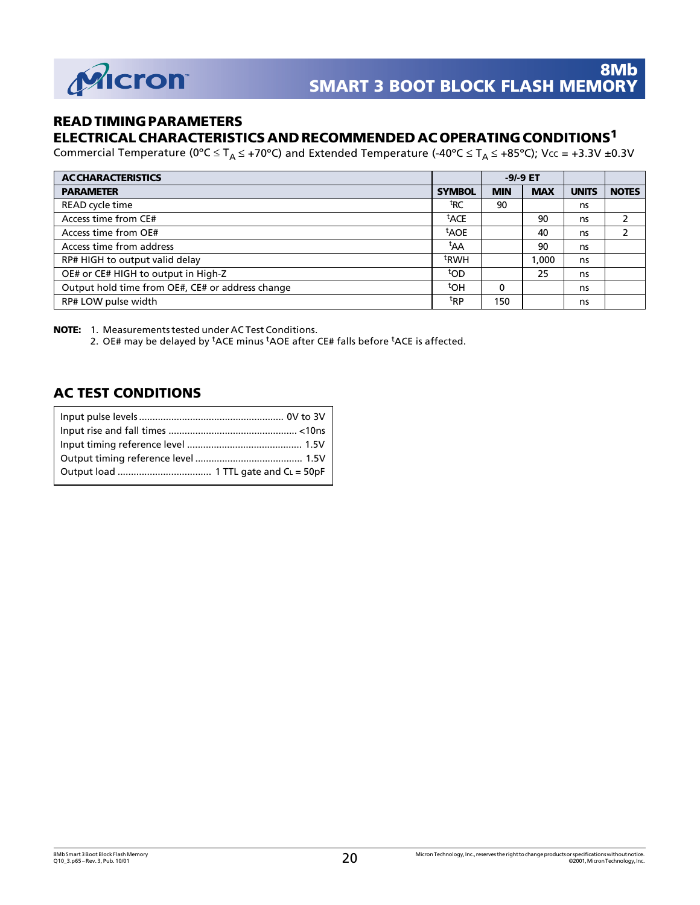

## **READ TIMING PARAMETERS**

## **ELECTRICAL CHARACTERISTICS AND RECOMMENDED AC OPERATING CONDITIONS1**

Commercial Temperature (0°C  $\leq T_A \leq$  +70°C) and Extended Temperature (-40°C  $\leq T_A \leq$  +85°C); Vcc = +3.3V ±0.3V

| <b>ACCHARACTERISTICS</b>                         |                  | $-9/-9$ ET |            |              |              |
|--------------------------------------------------|------------------|------------|------------|--------------|--------------|
| <b>PARAMETER</b>                                 | <b>SYMBOL</b>    | <b>MIN</b> | <b>MAX</b> | <b>UNITS</b> | <b>NOTES</b> |
| READ cycle time                                  | <sup>t</sup> RC  | 90         |            | ns           |              |
| Access time from CE#                             | <sup>t</sup> ACE |            | 90         | ns           | 2            |
| Access time from OE#                             | <sup>t</sup> AOE |            | 40         | ns           | 2            |
| Access time from address                         | <sup>t</sup> AA  |            | 90         | ns           |              |
| RP# HIGH to output valid delay                   | <sup>t</sup> RWH |            | .000       | ns           |              |
| OE# or CE# HIGH to output in High-Z              | top              |            | 25         | ns           |              |
| Output hold time from OE#, CE# or address change | <sup>t</sup> OH  | 0          |            | ns           |              |
| RP# LOW pulse width                              | <sup>t</sup> RP  | 150        |            | ns           |              |

**NOTE:** 1. Measurements tested under AC Test Conditions.

2. OE# may be delayed by <sup>t</sup>ACE minus <sup>t</sup>AOE after CE# falls before <sup>t</sup>ACE is affected.

## **AC TEST CONDITIONS**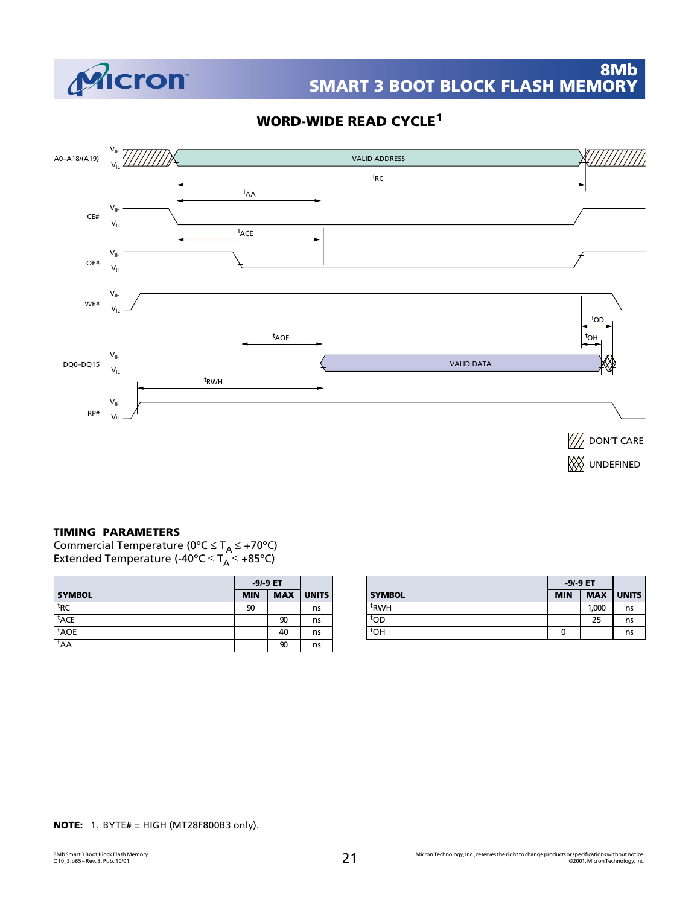

## **WORD-WIDE READ CYCLE<sup>1</sup>**



#### **TIMING PARAMETERS**

Commercial Temperature (0°C  $\leq T_A \leq +70$ °C) Extended Temperature (-40°C ≤ T<sub>A</sub> ≤ +85°C)

|                  | $-9/-9$ ET |            |              |
|------------------|------------|------------|--------------|
| <b>SYMBOL</b>    | <b>MIN</b> | <b>MAX</b> | <b>UNITS</b> |
| <sup>t</sup> RC  | 90         |            | ns           |
| <sup>t</sup> ACE |            | 90         | ns           |
| <sup>t</sup> AOE |            | 40         | ns           |
| <sup>t</sup> AA  |            | 90         | ns           |

|                  | $-9/-9$ ET |            |              |
|------------------|------------|------------|--------------|
| <b>SYMBOL</b>    | <b>MIN</b> | <b>MAX</b> | <b>UNITS</b> |
| <sup>t</sup> RWH |            | 1,000      | ns           |
| tod              |            | 25         | ns           |
| tон              | 0          |            | ns           |

#### **NOTE:** 1. BYTE# = HIGH (MT28F800B3 only).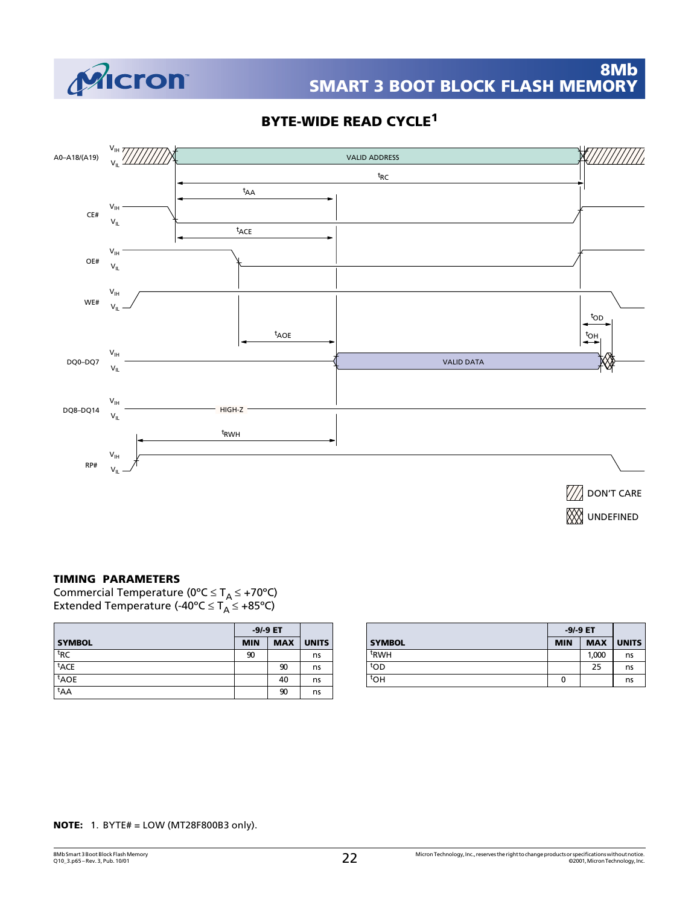

## **BYTE-WIDE READ CYCLE<sup>1</sup>**



**TIMING PARAMETERS**

Commercial Temperature (0°C ≤ T<sub>A</sub> ≤ +70°C) Extended Temperature (-40°C  $\leq$  T<sub>A</sub>  $\leq$  +85°C)

|                  | $-9/-9$ ET |            |              |
|------------------|------------|------------|--------------|
| <b>SYMBOL</b>    | <b>MIN</b> | <b>MAX</b> | <b>UNITS</b> |
| <sup>t</sup> RC  | 90         |            | ns           |
| <sup>t</sup> ACE |            | 90         | ns           |
| <sup>t</sup> AOE |            | 40         | ns           |
| $t_{AA}$         |            | 90         | ns           |

|                  | $-9/-9$ ET |            |              |
|------------------|------------|------------|--------------|
| <b>SYMBOL</b>    | <b>MIN</b> | <b>MAX</b> | <b>UNITS</b> |
| <sup>t</sup> RWH |            | 1,000      | ns           |
| top              |            | 25         | ns           |
| toh              | 0          |            | ns           |

**NOTE:** 1. BYTE# = LOW (MT28F800B3 only).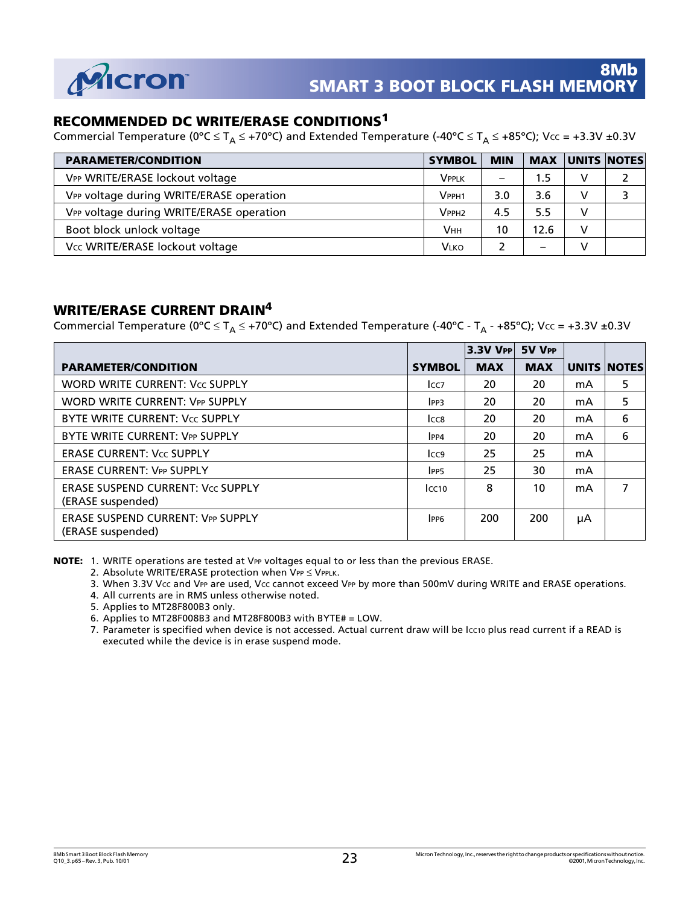

## **RECOMMENDED DC WRITE/ERASE CONDITIONS<sup>1</sup>**

Commercial Temperature (0°C  $\leq T_A \leq$  +70°C) and Extended Temperature (-40°C  $\leq T_A \leq$  +85°C); Vcc = +3.3V ±0.3V

| <b>PARAMETER/CONDITION</b>               | <b>SYMBOL</b> | <b>MIN</b>      | <b>MAX</b> |   | UNITS NOTES |
|------------------------------------------|---------------|-----------------|------------|---|-------------|
| VPP WRITE/ERASE lockout voltage          | Vpplk         | $\qquad \qquad$ | 1.5        | v |             |
| VPP voltage during WRITE/ERASE operation | $V$ pph1      | 3.0             | 3.6        |   |             |
| VPP voltage during WRITE/ERASE operation | $V$ PPH2      | 4.5             | 5.5        |   |             |
| Boot block unlock voltage                | <b>VHH</b>    | 10              | 12.6       |   |             |
| Vcc WRITE/ERASE lockout voltage          | <b>VLKO</b>   |                 | -          |   |             |

## **WRITE/ERASE CURRENT DRAIN4**

Commercial Temperature (0°C  $\leq T_A \leq$  +70°C) and Extended Temperature (-40°C - T<sub>A</sub> - +85°C); Vcc = +3.3V ±0.3V

|                                                               |                  | $3.3V$ Vpp | 5V VPP     |    |                    |
|---------------------------------------------------------------|------------------|------------|------------|----|--------------------|
| <b>PARAMETER/CONDITION</b>                                    | <b>SYMBOL</b>    | <b>MAX</b> | <b>MAX</b> |    | <b>UNITS NOTES</b> |
| <b>WORD WRITE CURRENT: Vcc SUPPLY</b>                         | Icc <sub>7</sub> | 20         | 20         | mA | 5                  |
| <b>WORD WRITE CURRENT: VPP SUPPLY</b>                         | IPP <sub>3</sub> | 20         | 20         | mA | 5                  |
| BYTE WRITE CURRENT: Vcc SUPPLY                                | ICC8             | 20         | 20         | mA | 6                  |
| BYTE WRITE CURRENT: VPP SUPPLY                                | IPP4             | 20         | 20         | mA | 6                  |
| <b>ERASE CURRENT: Vcc SUPPLY</b>                              | Icc <sub>9</sub> | 25         | 25         | mA |                    |
| <b>ERASE CURRENT: VPP SUPPLY</b>                              | IPP <sub>5</sub> | 25         | 30         | mA |                    |
| <b>ERASE SUSPEND CURRENT: Vcc SUPPLY</b><br>(ERASE suspended) | lcc10            | 8          | 10         | mA | 7                  |
| <b>ERASE SUSPEND CURRENT: VPP SUPPLY</b><br>(ERASE suspended) | IPP <sub>6</sub> | 200        | 200        | μA |                    |

**NOTE:** 1. WRITE operations are tested at VPP voltages equal to or less than the previous ERASE.

- 2. Absolute WRITE/ERASE protection when  $VPP \leq VPPLK$ .
- 3. When 3.3V Vcc and VPP are used, Vcc cannot exceed VPP by more than 500mV during WRITE and ERASE operations.
- 4. All currents are in RMS unless otherwise noted.
- 5. Applies to MT28F800B3 only.
- 6. Applies to MT28F008B3 and MT28F800B3 with BYTE# = LOW.
- 7. Parameter is specified when device is not accessed. Actual current draw will be Icc10 plus read current if a READ is executed while the device is in erase suspend mode.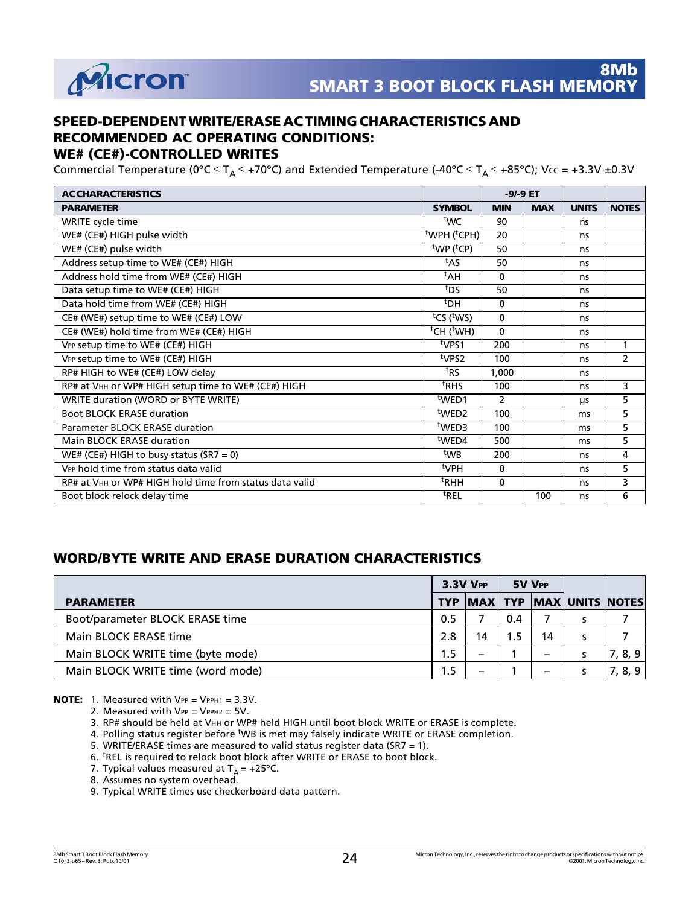

## **SPEED-DEPENDENT WRITE/ERASE AC TIMING CHARACTERISTICS AND RECOMMENDED AC OPERATING CONDITIONS:**

### **WE# (CE#)-CONTROLLED WRITES**

Commercial Temperature (0°C  $\leq T_A \leq$  +70°C) and Extended Temperature (-40°C  $\leq T_A \leq$  +85°C); Vcc = +3.3V ±0.3V

| <b>ACCHARACTERISTICS</b>                                |                                      | $-9/-9$ ET     |            |              |                |
|---------------------------------------------------------|--------------------------------------|----------------|------------|--------------|----------------|
| <b>PARAMETER</b>                                        | <b>SYMBOL</b>                        | <b>MIN</b>     | <b>MAX</b> | <b>UNITS</b> | <b>NOTES</b>   |
| WRITE cycle time                                        | twc                                  | 90             |            | ns.          |                |
| WE# (CE#) HIGH pulse width                              | <sup>t</sup> WPH ( <sup>t</sup> CPH) | 20             |            | ns           |                |
| WE# (CE#) pulse width                                   | $^{\text{t}}$ WP ( $^{\text{t}}$ CP) | 50             |            | ns           |                |
| Address setup time to WE# (CE#) HIGH                    | <sup>t</sup> AS                      | 50             |            | ns           |                |
| Address hold time from WE# (CE#) HIGH                   | <sup>t</sup> AH                      | $\mathbf{0}$   |            | ns           |                |
| Data setup time to WE# (CE#) HIGH                       | t <sub>DS</sub>                      | 50             |            | ns           |                |
| Data hold time from WE# (CE#) HIGH                      | <sup>t</sup> DH                      | $\Omega$       |            | ns           |                |
| CE# (WE#) setup time to WE# (CE#) LOW                   | $tCS$ (tws)                          | $\Omega$       |            | ns           |                |
| CE# (WE#) hold time from WE# (CE#) HIGH                 | $\overline{t}$ CH ( $t$ WH)          | 0              |            | ns           |                |
| VPP setup time to WE# (CE#) HIGH                        | t <sub>VPS1</sub>                    | 200            |            | ns           | 1              |
| VPP setup time to WE# (CE#) HIGH                        | t <sub>VPS2</sub>                    | 100            |            | ns           | $\overline{2}$ |
| RP# HIGH to WE# (CE#) LOW delay                         | <sup>t</sup> RS                      | 1,000          |            | ns           |                |
| RP# at VHH or WP# HIGH setup time to WE# (CE#) HIGH     | <sup>t</sup> RHS                     | 100            |            | ns           | 3              |
| WRITE duration (WORD or BYTE WRITE)                     | <sup>t</sup> WED1                    | $\overline{2}$ |            | μs           | 5              |
| <b>Boot BLOCK ERASE duration</b>                        | twe <sub>D2</sub>                    | 100            |            | ms           | 5              |
| Parameter BLOCK ERASE duration                          | <sup>t</sup> WED3                    | 100            |            | ms           | 5              |
| Main BLOCK ERASE duration                               | <sup>t</sup> WED4                    | 500            |            | ms           | 5              |
| WE# (CE#) HIGH to busy status $(SR7 = 0)$               | twB                                  | 200            |            | ns           | 4              |
| V <sub>PP</sub> hold time from status data valid        | $t$ VPH                              | $\Omega$       |            | ns           | 5              |
| RP# at VHH or WP# HIGH hold time from status data valid | <sup>t</sup> RHH                     | 0              |            | ns           | 3              |
| Boot block relock delay time                            | <sup>t</sup> REL                     |                | 100        | ns           | 6              |

## **WORD/BYTE WRITE AND ERASE DURATION CHARACTERISTICS**

|                                   | $3.3V$ $V$ PP |    | 5V VPP |    |                                       |
|-----------------------------------|---------------|----|--------|----|---------------------------------------|
| <b>PARAMETER</b>                  |               |    |        |    | TYP   MAX   TYP   MAX   UNITS   NOTES |
| Boot/parameter BLOCK ERASE time   | 0.5           |    | 0.4    |    |                                       |
| Main BLOCK ERASE time             | 2.8           | 14 | 1.5    | 14 |                                       |
| Main BLOCK WRITE time (byte mode) | 1.5           | -  |        | -  | 7, 8, 9                               |
| Main BLOCK WRITE time (word mode) | 1.5           |    |        | –  | 8, 9                                  |

**NOTE:** 1. Measured with VPP = VPPH1 = 3.3V.

- 2. Measured with  $VPP = VPPH2 = 5V$ .
- 3. RP# should be held at VHH or WP# held HIGH until boot block WRITE or ERASE is complete.
- 4. Polling status register before WB is met may falsely indicate WRITE or ERASE completion.
- 5. WRITE/ERASE times are measured to valid status register data (SR7 = 1).
- 6. <sup>t</sup>REL is required to relock boot block after WRITE or ERASE to boot block.
- 7. Typical values measured at  $T_A = +25^{\circ}C$ .
- 8. Assumes no system overhead.
- 9. Typical WRITE times use checkerboard data pattern.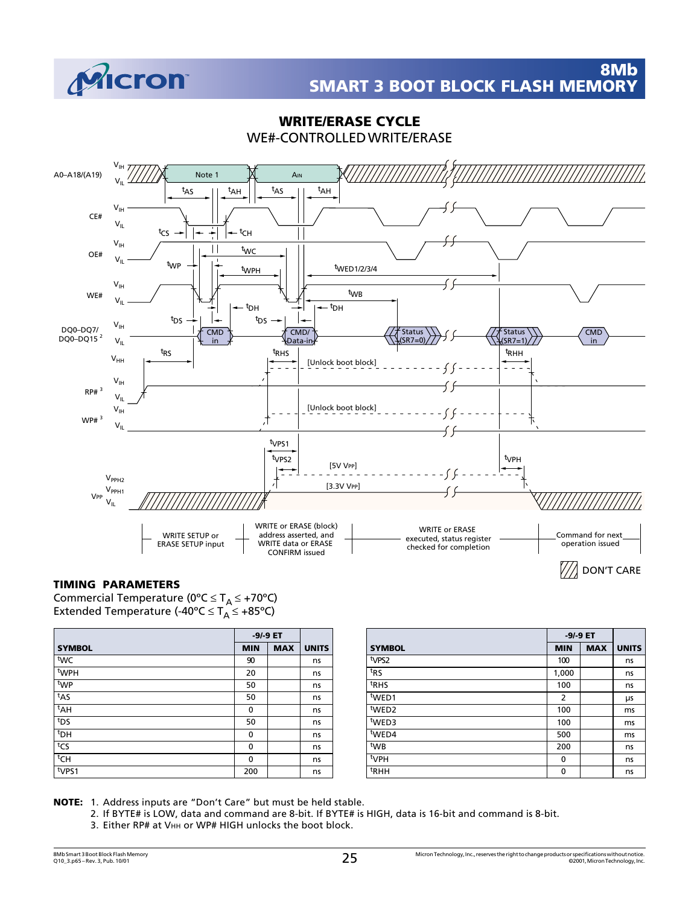

### **WRITE/ERASE CYCLE** WE#-CONTROLLED WRITE/ERASE



#### **TIMING PARAMETERS**

Commercial Temperature (0°C  $\leq T_A \leq +70$ °C) Extended Temperature (-40°C  $\leq$  T<sub>A</sub>  $\leq$  +85°C)

|                  | $-9/-9$ ET |            |              |
|------------------|------------|------------|--------------|
| <b>SYMBOL</b>    | <b>MIN</b> | <b>MAX</b> | <b>UNITS</b> |
| twc              | 90         |            | ns           |
| <sup>t</sup> WPH | 20         |            | ns           |
| twp              | 50         |            | ns           |
| $t_{AS}$         | 50         |            | ns           |
| $t_{AH}$         | 0          |            | ns           |
| t <sub>DS</sub>  | 50         |            | ns           |
| <sup>t</sup> DH  | $\Omega$   |            | ns           |
| tcs              | 0          |            | ns           |
| <sup>t</sup> CH  | 0          |            | ns           |
| typs1            | 200        |            | ns           |

|                   | $-9/-9$ ET     |            |              |
|-------------------|----------------|------------|--------------|
| <b>SYMBOL</b>     | <b>MIN</b>     | <b>MAX</b> | <b>UNITS</b> |
| t <sub>VPS2</sub> | 100            |            | ns           |
| t <sub>RS</sub>   | 1,000          |            | ns           |
| t <sub>RHS</sub>  | 100            |            | ns           |
| <sup>t</sup> WED1 | $\overline{2}$ |            | μs           |
| t <sub>WED2</sub> | 100            |            | ms           |
| twED3             | 100            |            | ms           |
| twED4             | 500            |            | ms           |
| twB               | 200            |            | ns           |
| <sup>t</sup> VPH  | $\mathbf{0}$   |            | ns           |
| <sup>t</sup> RHH  | 0              |            | ns           |

**NOTE:** 1. Address inputs are "Don't Care" but must be held stable.

2. If BYTE# is LOW, data and command are 8-bit. If BYTE# is HIGH, data is 16-bit and command is 8-bit.

3. Either RP# at VHH or WP# HIGH unlocks the boot block.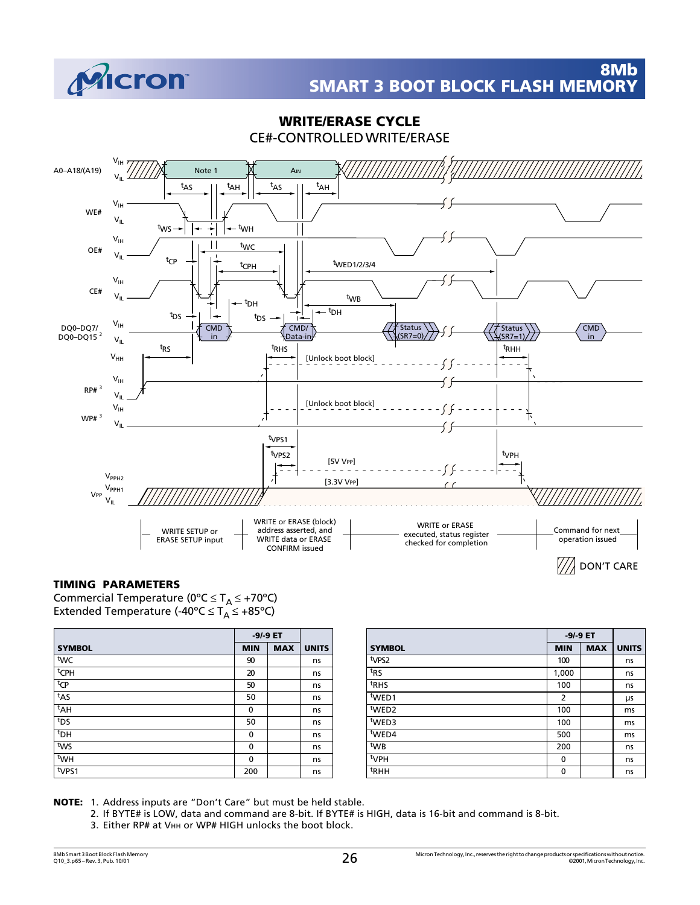

#### $V_{\text{IH}}$ A0–A18/(A19) Note 1 AIN  $\mathsf{v}_{\mathsf{IL}}$ t<sub>AS ||</sub> t t<sub>AH</sub> t<sub>AS ||</sub> t  $t_{AH}$  $V_{\text{IH}}$ WE#  $V_{IL}$  $^{\text{tw}}\mathsf{s}$   $\rightarrow$   $\mid$   $\rightarrow$   $\mid$   $\mid$   $\rightarrow$   $\mid$ WH  $V_{IH}$  $\vert \vert$ t WC OE#  $V_{IL}$ t  $CP \rightarrow$   $\uparrow$  t CPH t WED1/2/3/4  $V_{\text{IH}}$ CE#  $V_{\cdot}$ t WB t DH t<sub>DH</sub> <sup>t</sup>DS → | ¯–– | <sup>←–– t</sup>DH t DS  $V_{\text{IH}}$ DQ0–DQ7/ CMD CMD/ Status Status **CMD** DQ0–DQ15 2 in Data-in  $(SR7=0)$  $(SR7=1)$ in  $V_{IL}$ t RS t RHS t RHH  $V_{HH}$ [Unlock boot block]  $\sim$   $\sim$  $V_{\text{IH}}$  $RP#^3$  $V_{\rm{II}}$ [Unlock boot block]  $V_{\text{IH}}$ WP# 3  $\cdot$  $V_{\rm u}$ t VPS1 t VPS2 t VPH [5V VPP] E .<br>..  $V_{PPH2}$ ∄ [3.3V VPP]  $V_{PPH1}$ VPP  $V_{\text{II}}$ WRITE or ERASE (block) WRITE or ERASE WRITE SETUP or address asserted, and Command for next

## **WRITE/ERASE CYCLE** CE#-CONTROLLED WRITE/ERASE

## **TIMING PARAMETERS**

Commercial Temperature (0°C  $\leq T_A \leq +70$ °C) Extended Temperature (-40°C  $\leq$  T<sub>A</sub>  $\leq$  +85°C)

|                  | $-9/-9$ ET   |            |              |
|------------------|--------------|------------|--------------|
| <b>SYMBOL</b>    | <b>MIN</b>   | <b>MAX</b> | <b>UNITS</b> |
| twc              | 90           |            | ns           |
| <sup>t</sup> CPH | 20           |            | ns           |
| t <sub>CP</sub>  | 50           |            | ns           |
| $t_{AS}$         | 50           |            | ns           |
| <sup>t</sup> AH  | 0            |            | ns           |
| t <sub>DS</sub>  | 50           |            | ns           |
| <sup>t</sup> DH  | 0            |            | ns           |
| tws              | 0            |            | ns           |
| <sup>t</sup> WH  | $\mathbf{0}$ |            | ns           |
| typs1            | 200          |            | ns           |

ERASE SETUP input

|                   | -9/-9 ET       |            |              |
|-------------------|----------------|------------|--------------|
| <b>SYMBOL</b>     | <b>MIN</b>     | <b>MAX</b> | <b>UNITS</b> |
| t <sub>VPS2</sub> | 100            |            | ns           |
| t <sub>RS</sub>   | 1,000          |            | ns           |
| <sup>t</sup> RHS  | 100            |            | ns           |
| <sup>t</sup> WED1 | $\overline{2}$ |            | μs           |
| <sup>t</sup> WED2 | 100            |            | ms           |
| twED3             | 100            |            | ms           |
| tWED4             | 500            |            | ms           |
| twB               | 200            |            | ns           |
| <sup>t</sup> VPH  | 0              |            | ns           |
| <sup>t</sup> RHH  | 0              |            | ns           |

executed, status register checked for completion

DON'T CARE

operation issued

V / A

**NOTE:** 1. Address inputs are "Don't Care" but must be held stable.

2. If BYTE# is LOW, data and command are 8-bit. If BYTE# is HIGH, data is 16-bit and command is 8-bit.

WRITE data or ERASE CONFIRM issued

3. Either RP# at VHH or WP# HIGH unlocks the boot block.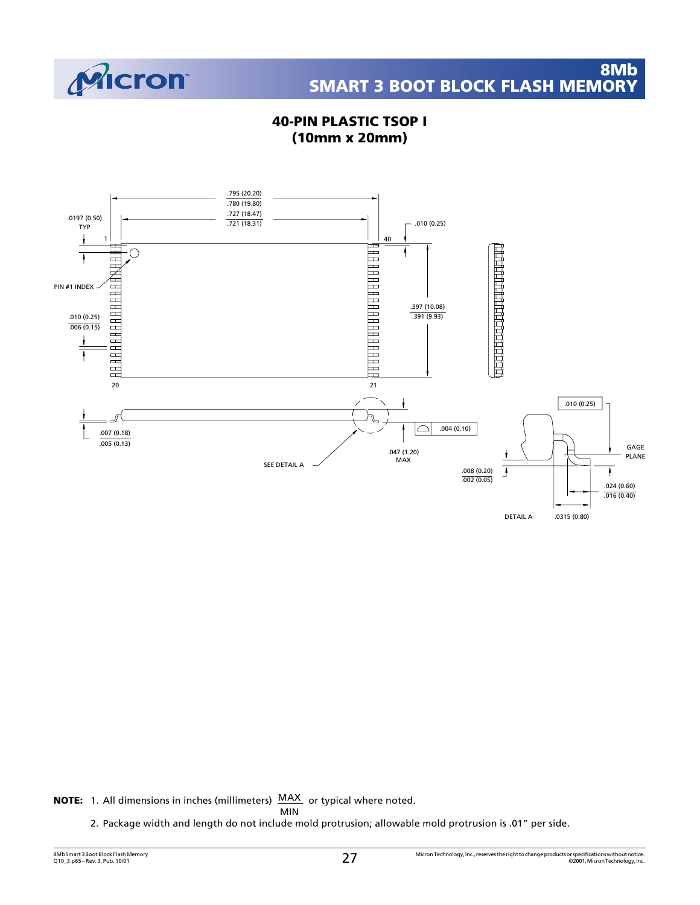

## **40-PIN PLASTIC TSOP I (10mm x 20mm)**



**NOTE:** 1. All dimensions in inches (millimeters) MAX or typical where noted.

MIN

2. Package width and length do not include mold protrusion; allowable mold protrusion is .01" per side.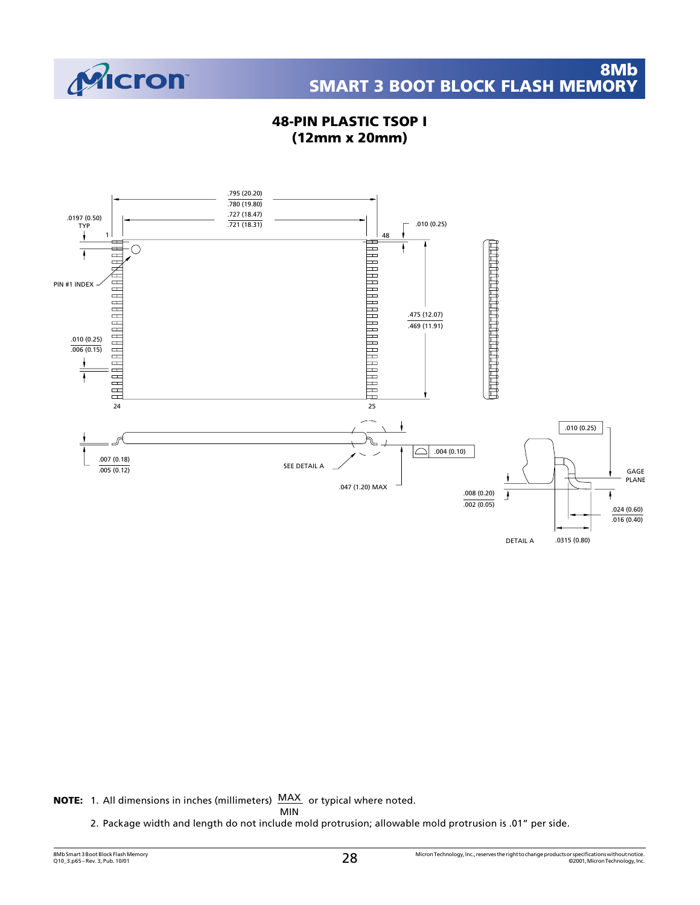

## **48-PIN PLASTIC TSOP I (12mm x 20mm)**



**NOTE:** 1. All dimensions in inches (millimeters) MAX or typical where noted.

MIN

2. Package width and length do not include mold protrusion; allowable mold protrusion is .01" per side.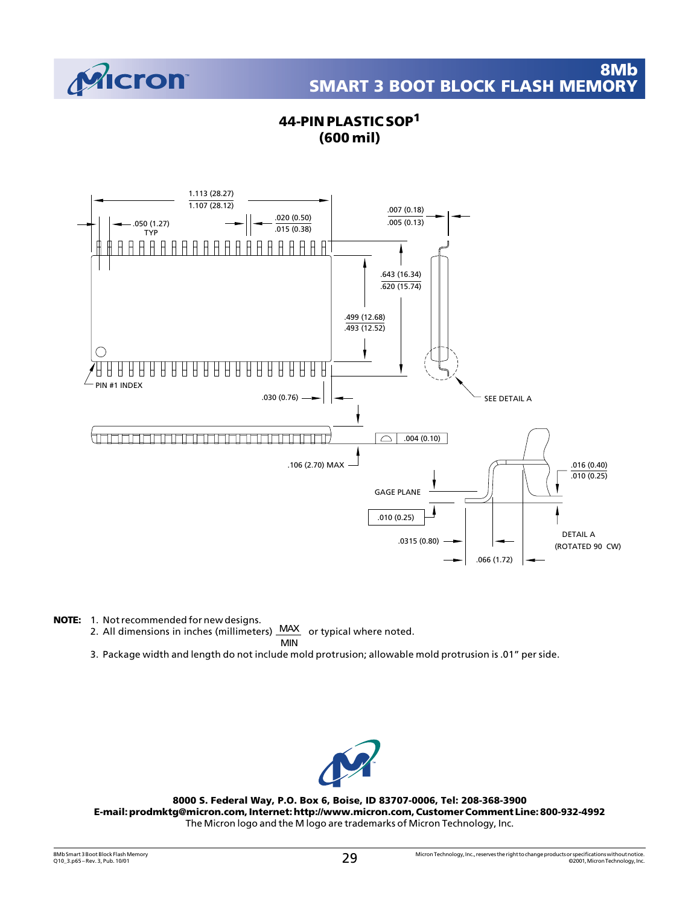

## **44-PIN PLASTIC SOP<sup>1</sup> (600 mil)**



- **NOTE:** 1. Not recommended for new designs.
	- 2. All dimensions in inches (millimeters) MAX or typical where noted. MIN
	- 3. Package width and length do not include mold protrusion; allowable mold protrusion is .01" per side.

![](_page_28_Picture_7.jpeg)

**8000 S. Federal Way, P.O. Box 6, Boise, ID 83707-0006, Tel: 208-368-3900 E-mail: prodmktg@micron.com, Internet: http://www.micron.com, Customer Comment Line: 800-932-4992** The Micron logo and the M logo are trademarks of Micron Technology, Inc.